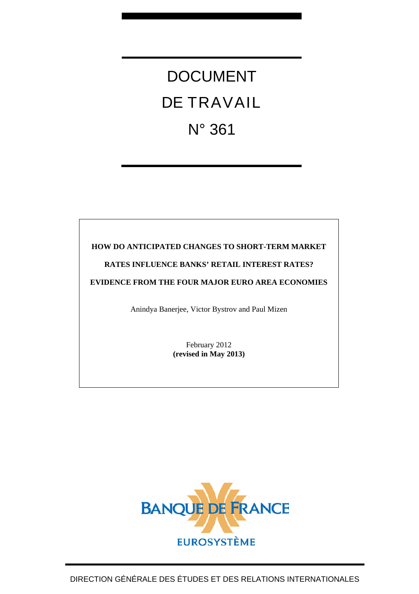# DOCUMENT DE TRAVAIL N° 361

### **HOW DO ANTICIPATED CHANGES TO SHORT-TERM MARKET**

### **RATES INFLUENCE BANKS' RETAIL INTEREST RATES?**

**EVIDENCE FROM THE FOUR MAJOR EURO AREA ECONOMIES** 

Anindya Banerjee, Victor Bystrov and Paul Mizen

February 2012 **(revised in May 2013)** 

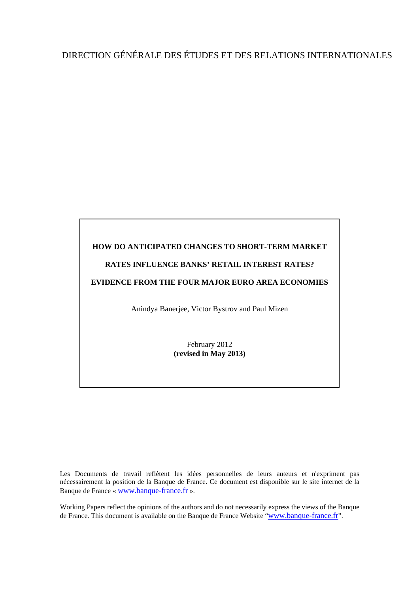# DIRECTION GÉNÉRALE DES ÉTUDES ET DES RELATIONS INTERNATIONALES

# **HOW DO ANTICIPATED CHANGES TO SHORT-TERM MARKET RATES INFLUENCE BANKS' RETAIL INTEREST RATES? EVIDENCE FROM THE FOUR MAJOR EURO AREA ECONOMIES**  Anindya Banerjee, Victor Bystrov and Paul Mizen February 2012 **(revised in May 2013)**

Les Documents de travail reflètent les idées personnelles de leurs auteurs et n'expriment pas nécessairement la position de la Banque de France. Ce document est disponible sur le site internet de la Banque de France « [www.banque-france.fr](http://www.banque-france.fr/) ».

Working Papers reflect the opinions of the authors and do not necessarily express the views of the Banque de France. This document is available on the Banque de France Website "[www.banque-france.fr](http://www.banque-france.fr/)".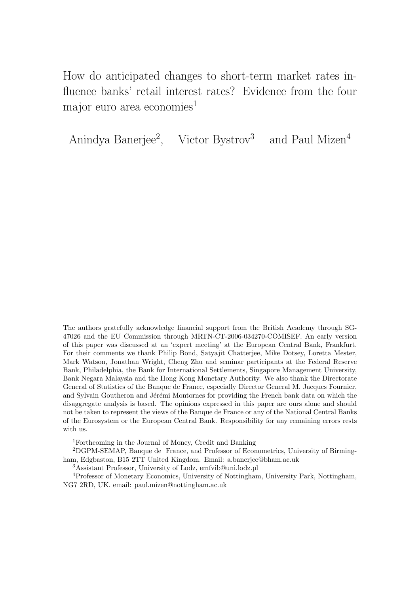How do anticipated changes to short-term market rates influence banks' retail interest rates? Evidence from the four major euro area economies<sup>1</sup>

Anindya Banerjee<sup>2</sup>, Victor Bystrov<sup>3</sup> and Paul Mizen<sup>4</sup>

The authors gratefully acknowledge financial support from the British Academy through SG-47026 and the EU Commission through MRTN-CT-2006-034270-COMISEF. An early version of this paper was discussed at an 'expert meeting' at the European Central Bank, Frankfurt. For their comments we thank Philip Bond, Satyajit Chatterjee, Mike Dotsey, Loretta Mester, Mark Watson, Jonathan Wright, Cheng Zhu and seminar participants at the Federal Reserve Bank, Philadelphia, the Bank for International Settlements, Singapore Management University, Bank Negara Malaysia and the Hong Kong Monetary Authority. We also thank the Directorate General of Statistics of the Banque de France, especially Director General M. Jacques Fournier, and Sylvain Goutheron and Jérémi Montornes for providing the French bank data on which the disaggregate analysis is based. The opinions expressed in this paper are ours alone and should not be taken to represent the views of the Banque de France or any of the National Central Banks of the Eurosystem or the European Central Bank. Responsibility for any remaining errors rests with us.

<sup>1</sup>Forthcoming in the Journal of Money, Credit and Banking

<sup>2</sup>DGPM-SEMAP, Banque de France, and Professor of Econometrics, University of Birmingham, Edgbaston, B15 2TT United Kingdom. Email: a.banerjee@bham.ac.uk

<sup>3</sup>Assistant Professor, University of Lodz, emfvib@uni.lodz.pl

<sup>4</sup>Professor of Monetary Economics, University of Nottingham, University Park, Nottingham, NG7 2RD, UK. email: paul.mizen@nottingham.ac.uk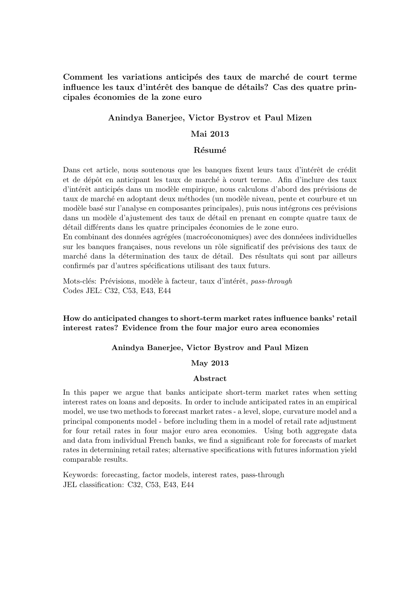Comment les variations anticipés des taux de marché de court terme influence les taux d'intérêt des banque de détails? Cas des quatre principales économies de la zone euro

### **Anindya Banerjee, Victor Bystrov et Paul Mizen**

### **Mai 2013**

### **R´esum´e**

Dans cet article, nous soutenous que les banques fixent leurs taux d'intérêt de crédit et de dépôt en anticipant les taux de marché à court terme. Afin d'inclure des taux d'intérêt anticipés dans un modèle empirique, nous calculons d'abord des prévisions de taux de marché en adoptant deux méthodes (un modèle niveau, pente et courbure et un modèle basé sur l'analyse en composantes principales), puis nous intégrons ces prévisions dans un modèle d'ajustement des taux de détail en prenant en compte quatre taux de détail différents dans les quatre principales économies de le zone euro.

En combinant des données agrégées (macroéconomiques) avec des donnéees individuelles sur les banques françaises, nous revelons un rôle significatif des prévisions des taux de marché dans la détermination des taux de détail. Des résultats qui sont par ailleurs confirmés par d'autres spécifications utilisant des taux futurs.

Mots-clés: Prévisions, modèle à facteur, taux d'intérêt, *pass-through* Codes JEL: C32, C53, E43, E44

### **How do anticipated changes to short-term market rates influence banks' retail interest rates? Evidence from the four major euro area economies**

### **Anindya Banerjee, Victor Bystrov and Paul Mizen**

### **May 2013**

### **Abstract**

In this paper we argue that banks anticipate short-term market rates when setting interest rates on loans and deposits. In order to include anticipated rates in an empirical model, we use two methods to forecast market rates - a level, slope, curvature model and a principal components model - before including them in a model of retail rate adjustment for four retail rates in four major euro area economies. Using both aggregate data and data from individual French banks, we find a significant role for forecasts of market rates in determining retail rates; alternative specifications with futures information yield comparable results.

Keywords: forecasting, factor models, interest rates, pass-through JEL classification: C32, C53, E43, E44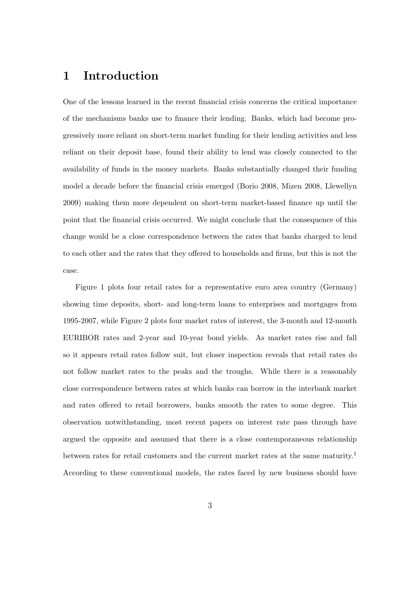# **1 Introduction**

One of the lessons learned in the recent financial crisis concerns the critical importance of the mechanisms banks use to finance their lending. Banks, which had become progressively more reliant on short-term market funding for their lending activities and less reliant on their deposit base, found their ability to lend was closely connected to the availability of funds in the money markets. Banks substantially changed their funding model a decade before the financial crisis emerged (Borio 2008, Mizen 2008, Llewellyn 2009) making them more dependent on short-term market-based finance up until the point that the financial crisis occurred. We might conclude that the consequence of this change would be a close correspondence between the rates that banks charged to lend to each other and the rates that they offered to households and firms, but this is not the case.

Figure 1 plots four retail rates for a representative euro area country (Germany) showing time deposits, short- and long-term loans to enterprises and mortgages from 1995-2007, while Figure 2 plots four market rates of interest, the 3-month and 12-month EURIBOR rates and 2-year and 10-year bond yields. As market rates rise and fall so it appears retail rates follow suit, but closer inspection reveals that retail rates do not follow market rates to the peaks and the troughs. While there is a reasonably close correspondence between rates at which banks can borrow in the interbank market and rates offered to retail borrowers, banks smooth the rates to some degree. This observation notwithstanding, most recent papers on interest rate pass through have argued the opposite and assumed that there is a close contemporaneous relationship between rates for retail customers and the current market rates at the same maturity.<sup>1</sup> According to these conventional models, the rates faced by new business should have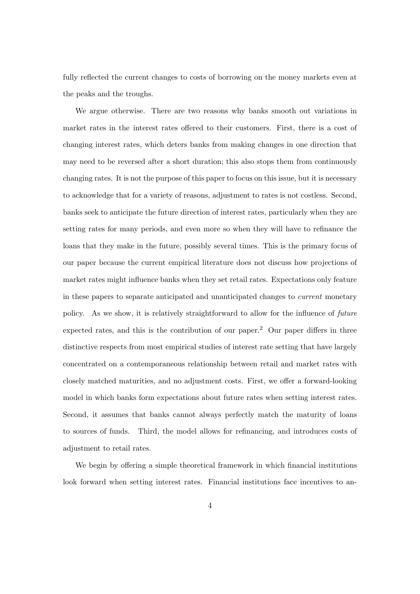fully reflected the current changes to costs of borrowing on the money markets even at the peaks and the troughs.

We argue otherwise. There are two reasons why banks smooth out variations in market rates in the interest rates offered to their customers. First, there is a cost of changing interest rates, which deters banks from making changes in one direction that may need to be reversed after a short duration; this also stops them from continuously changing rates. It is not the purpose of this paper to focus on this issue, but it is necessary to acknowledge that for a variety of reasons, adjustment to rates is not costless. Second, banks seek to anticipate the future direction of interest rates, particularly when they are setting rates for many periods, and even more so when they will have to refinance the loans that they make in the future, possibly several times. This is the primary focus of our paper because the current empirical literature does not discuss how projections of market rates might influence banks when they set retail rates. Expectations only feature in these papers to separate anticipated and unanticipated changes to *current* monetary policy. As we show, it is relatively straightforward to allow for the influence of *future* expected rates, and this is the contribution of our paper.<sup>2</sup> Our paper differs in three distinctive respects from most empirical studies of interest rate setting that have largely concentrated on a contemporaneous relationship between retail and market rates with closely matched maturities, and no adjustment costs. First, we offer a forward-looking model in which banks form expectations about future rates when setting interest rates. Second, it assumes that banks cannot always perfectly match the maturity of loans to sources of funds. Third, the model allows for refinancing, and introduces costs of adjustment to retail rates.

We begin by offering a simple theoretical framework in which financial institutions look forward when setting interest rates. Financial institutions face incentives to an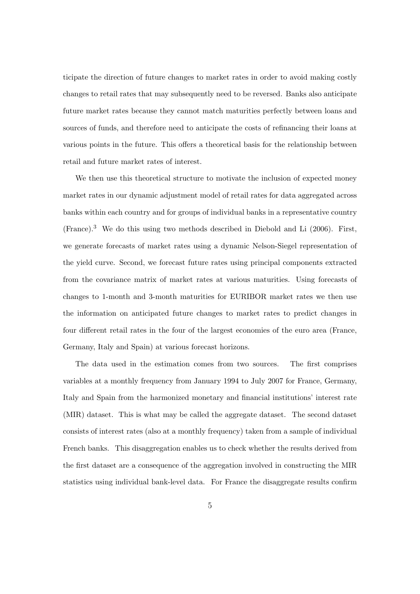ticipate the direction of future changes to market rates in order to avoid making costly changes to retail rates that may subsequently need to be reversed. Banks also anticipate future market rates because they cannot match maturities perfectly between loans and sources of funds, and therefore need to anticipate the costs of refinancing their loans at various points in the future. This offers a theoretical basis for the relationship between retail and future market rates of interest.

We then use this theoretical structure to motivate the inclusion of expected money market rates in our dynamic adjustment model of retail rates for data aggregated across banks within each country and for groups of individual banks in a representative country  $(France).$ <sup>3</sup> We do this using two methods described in Diebold and Li (2006). First, we generate forecasts of market rates using a dynamic Nelson-Siegel representation of the yield curve. Second, we forecast future rates using principal components extracted from the covariance matrix of market rates at various maturities. Using forecasts of changes to 1-month and 3-month maturities for EURIBOR market rates we then use the information on anticipated future changes to market rates to predict changes in four different retail rates in the four of the largest economies of the euro area (France, Germany, Italy and Spain) at various forecast horizons.

The data used in the estimation comes from two sources. The first comprises variables at a monthly frequency from January 1994 to July 2007 for France, Germany, Italy and Spain from the harmonized monetary and financial institutions' interest rate (MIR) dataset. This is what may be called the aggregate dataset. The second dataset consists of interest rates (also at a monthly frequency) taken from a sample of individual French banks. This disaggregation enables us to check whether the results derived from the first dataset are a consequence of the aggregation involved in constructing the MIR statistics using individual bank-level data. For France the disaggregate results confirm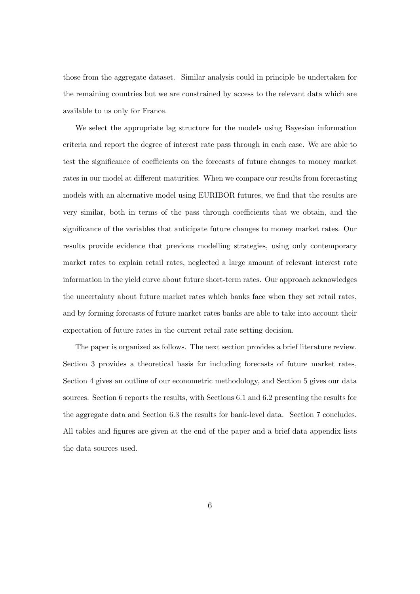those from the aggregate dataset. Similar analysis could in principle be undertaken for the remaining countries but we are constrained by access to the relevant data which are available to us only for France.

We select the appropriate lag structure for the models using Bayesian information criteria and report the degree of interest rate pass through in each case. We are able to test the significance of coefficients on the forecasts of future changes to money market rates in our model at different maturities. When we compare our results from forecasting models with an alternative model using EURIBOR futures, we find that the results are very similar, both in terms of the pass through coefficients that we obtain, and the significance of the variables that anticipate future changes to money market rates. Our results provide evidence that previous modelling strategies, using only contemporary market rates to explain retail rates, neglected a large amount of relevant interest rate information in the yield curve about future short-term rates. Our approach acknowledges the uncertainty about future market rates which banks face when they set retail rates, and by forming forecasts of future market rates banks are able to take into account their expectation of future rates in the current retail rate setting decision.

The paper is organized as follows. The next section provides a brief literature review. Section 3 provides a theoretical basis for including forecasts of future market rates, Section 4 gives an outline of our econometric methodology, and Section 5 gives our data sources. Section 6 reports the results, with Sections 6.1 and 6.2 presenting the results for the aggregate data and Section 6.3 the results for bank-level data. Section 7 concludes. All tables and figures are given at the end of the paper and a brief data appendix lists the data sources used.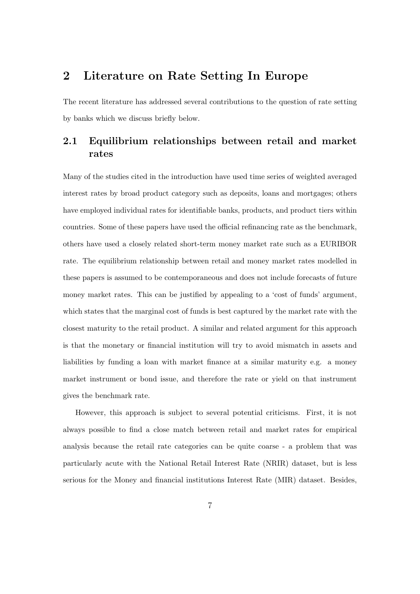# **2 Literature on Rate Setting In Europe**

The recent literature has addressed several contributions to the question of rate setting by banks which we discuss briefly below.

## **2.1 Equilibrium relationships between retail and market rates**

Many of the studies cited in the introduction have used time series of weighted averaged interest rates by broad product category such as deposits, loans and mortgages; others have employed individual rates for identifiable banks, products, and product tiers within countries. Some of these papers have used the official refinancing rate as the benchmark, others have used a closely related short-term money market rate such as a EURIBOR rate. The equilibrium relationship between retail and money market rates modelled in these papers is assumed to be contemporaneous and does not include forecasts of future money market rates. This can be justified by appealing to a 'cost of funds' argument, which states that the marginal cost of funds is best captured by the market rate with the closest maturity to the retail product. A similar and related argument for this approach is that the monetary or financial institution will try to avoid mismatch in assets and liabilities by funding a loan with market finance at a similar maturity e.g. a money market instrument or bond issue, and therefore the rate or yield on that instrument gives the benchmark rate.

However, this approach is subject to several potential criticisms. First, it is not always possible to find a close match between retail and market rates for empirical analysis because the retail rate categories can be quite coarse - a problem that was particularly acute with the National Retail Interest Rate (NRIR) dataset, but is less serious for the Money and financial institutions Interest Rate (MIR) dataset. Besides,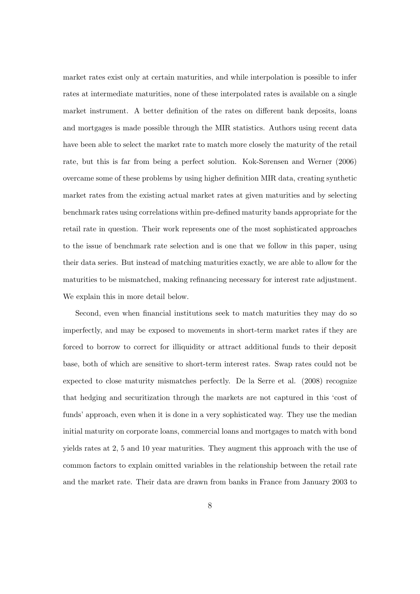market rates exist only at certain maturities, and while interpolation is possible to infer rates at intermediate maturities, none of these interpolated rates is available on a single market instrument. A better definition of the rates on different bank deposits, loans and mortgages is made possible through the MIR statistics. Authors using recent data have been able to select the market rate to match more closely the maturity of the retail rate, but this is far from being a perfect solution. Kok-Sørensen and Werner (2006) overcame some of these problems by using higher definition MIR data, creating synthetic market rates from the existing actual market rates at given maturities and by selecting benchmark rates using correlations within pre-defined maturity bands appropriate for the retail rate in question. Their work represents one of the most sophisticated approaches to the issue of benchmark rate selection and is one that we follow in this paper, using their data series. But instead of matching maturities exactly, we are able to allow for the maturities to be mismatched, making refinancing necessary for interest rate adjustment. We explain this in more detail below.

Second, even when financial institutions seek to match maturities they may do so imperfectly, and may be exposed to movements in short-term market rates if they are forced to borrow to correct for illiquidity or attract additional funds to their deposit base, both of which are sensitive to short-term interest rates. Swap rates could not be expected to close maturity mismatches perfectly. De la Serre et al. (2008) recognize that hedging and securitization through the markets are not captured in this 'cost of funds' approach, even when it is done in a very sophisticated way. They use the median initial maturity on corporate loans, commercial loans and mortgages to match with bond yields rates at 2, 5 and 10 year maturities. They augment this approach with the use of common factors to explain omitted variables in the relationship between the retail rate and the market rate. Their data are drawn from banks in France from January 2003 to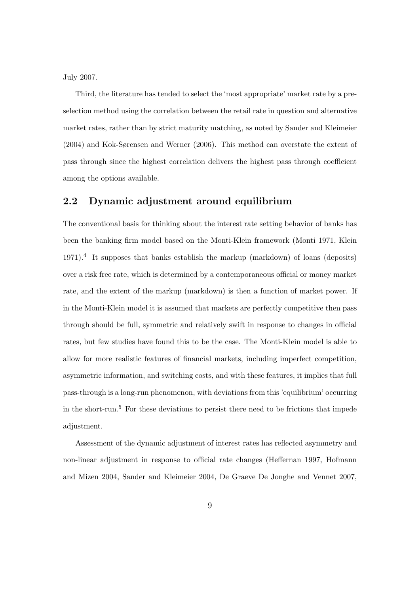July 2007.

Third, the literature has tended to select the 'most appropriate' market rate by a preselection method using the correlation between the retail rate in question and alternative market rates, rather than by strict maturity matching, as noted by Sander and Kleimeier (2004) and Kok-Sørensen and Werner (2006). This method can overstate the extent of pass through since the highest correlation delivers the highest pass through coefficient among the options available.

### **2.2 Dynamic adjustment around equilibrium**

The conventional basis for thinking about the interest rate setting behavior of banks has been the banking firm model based on the Monti-Klein framework (Monti 1971, Klein 1971).<sup>4</sup> It supposes that banks establish the markup (markdown) of loans (deposits) over a risk free rate, which is determined by a contemporaneous official or money market rate, and the extent of the markup (markdown) is then a function of market power. If in the Monti-Klein model it is assumed that markets are perfectly competitive then pass through should be full, symmetric and relatively swift in response to changes in official rates, but few studies have found this to be the case. The Monti-Klein model is able to allow for more realistic features of financial markets, including imperfect competition, asymmetric information, and switching costs, and with these features, it implies that full pass-through is a long-run phenomenon, with deviations from this 'equilibrium' occurring in the short-run.<sup>5</sup> For these deviations to persist there need to be frictions that impede adjustment.

Assessment of the dynamic adjustment of interest rates has reflected asymmetry and non-linear adjustment in response to official rate changes (Heffernan 1997, Hofmann and Mizen 2004, Sander and Kleimeier 2004, De Graeve De Jonghe and Vennet 2007,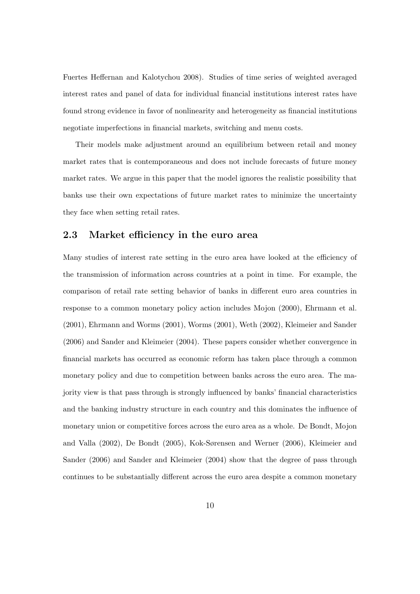Fuertes Heffernan and Kalotychou 2008). Studies of time series of weighted averaged interest rates and panel of data for individual financial institutions interest rates have found strong evidence in favor of nonlinearity and heterogeneity as financial institutions negotiate imperfections in financial markets, switching and menu costs.

Their models make adjustment around an equilibrium between retail and money market rates that is contemporaneous and does not include forecasts of future money market rates. We argue in this paper that the model ignores the realistic possibility that banks use their own expectations of future market rates to minimize the uncertainty they face when setting retail rates.

### **2.3 Market efficiency in the euro area**

Many studies of interest rate setting in the euro area have looked at the efficiency of the transmission of information across countries at a point in time. For example, the comparison of retail rate setting behavior of banks in different euro area countries in response to a common monetary policy action includes Mojon (2000), Ehrmann et al. (2001), Ehrmann and Worms (2001), Worms (2001), Weth (2002), Kleimeier and Sander (2006) and Sander and Kleimeier (2004). These papers consider whether convergence in financial markets has occurred as economic reform has taken place through a common monetary policy and due to competition between banks across the euro area. The majority view is that pass through is strongly influenced by banks' financial characteristics and the banking industry structure in each country and this dominates the influence of monetary union or competitive forces across the euro area as a whole. De Bondt, Mojon and Valla (2002), De Bondt (2005), Kok-Sørensen and Werner (2006), Kleimeier and Sander (2006) and Sander and Kleimeier (2004) show that the degree of pass through continues to be substantially different across the euro area despite a common monetary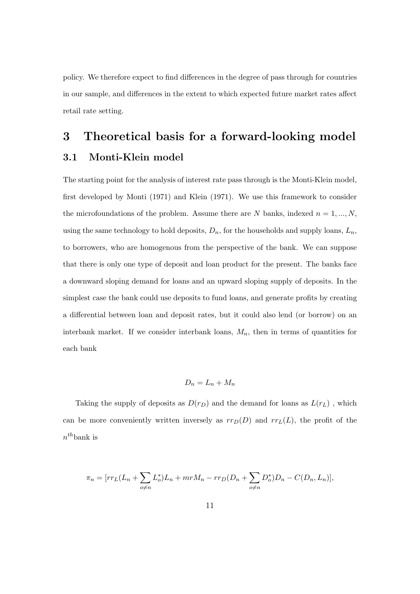policy. We therefore expect to find differences in the degree of pass through for countries in our sample, and differences in the extent to which expected future market rates affect retail rate setting.

# **3 Theoretical basis for a forward-looking model 3.1 Monti-Klein model**

The starting point for the analysis of interest rate pass through is the Monti-Klein model, first developed by Monti (1971) and Klein (1971). We use this framework to consider the microfoundations of the problem. Assume there are  $N$  banks, indexed  $n = 1, ..., N$ , using the same technology to hold deposits,  $D_n$ , for the households and supply loans,  $L_n$ , to borrowers, who are homogenous from the perspective of the bank. We can suppose that there is only one type of deposit and loan product for the present. The banks face a downward sloping demand for loans and an upward sloping supply of deposits. In the simplest case the bank could use deposits to fund loans, and generate profits by creating a differential between loan and deposit rates, but it could also lend (or borrow) on an interbank market. If we consider interbank loans,  $M_n$ , then in terms of quantities for each bank

$$
D_n = L_n + M_n
$$

Taking the supply of deposits as  $D(r_D)$  and the demand for loans as  $L(r_L)$ , which can be more conveniently written inversely as  $rr_D(D)$  and  $rr_L(L)$ , the profit of the *n th*bank is

$$
\pi_n = [rr_L(L_n + \sum_{o \neq n} L_o^*)L_n + mrM_n - rr_D(D_n + \sum_{o \neq n} D_o^*)D_n - C(D_n, L_n)],
$$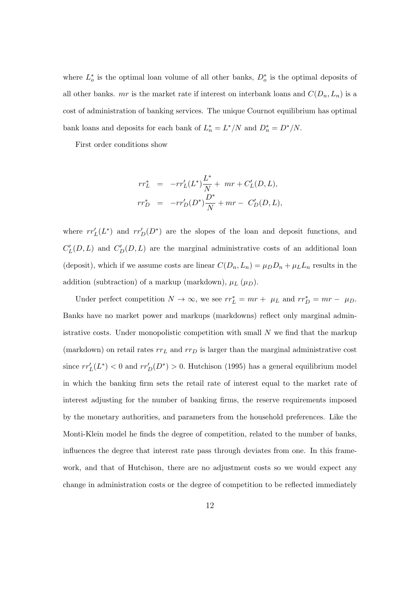where  $L_o^*$  is the optimal loan volume of all other banks,  $D_o^*$  is the optimal deposits of all other banks. *mr* is the market rate if interest on interbank loans and  $C(D_n, L_n)$  is a cost of administration of banking services. The unique Cournot equilibrium has optimal bank loans and deposits for each bank of  $L_n^* = L^*/N$  and  $D_n^* = D^*/N$ .

First order conditions show

$$
rr_L^* = -rr'_L(L^*)\frac{L^*}{N} + mr + C'_L(D, L),
$$
  

$$
rr_D^* = -rr'_D(D^*)\frac{D^*}{N} + mr - C'_D(D, L),
$$

where  $rr'_{L}(L^*)$  and  $rr'_{D}(D^*)$  are the slopes of the loan and deposit functions, and  $C'_{L}(D, L)$  and  $C'_{D}(D, L)$  are the marginal administrative costs of an additional loan (deposit), which if we assume costs are linear  $C(D_n, L_n) = \mu_D D_n + \mu_L L_n$  results in the addition (subtraction) of a markup (markdown),  $\mu_L$  ( $\mu_D$ ).

Under perfect competition  $N \to \infty$ , we see  $rr_L^* = mr + \mu_L$  and  $rr_D^* = mr - \mu_D$ . Banks have no market power and markups (markdowns) reflect only marginal administrative costs. Under monopolistic competition with small *N* we find that the markup (markdown) on retail rates  $rr_L$  and  $rr_D$  is larger than the marginal administrative cost since  $rr'_{L}(L^{*}) < 0$  and  $rr'_{D}(D^{*}) > 0$ . Hutchison (1995) has a general equilibrium model in which the banking firm sets the retail rate of interest equal to the market rate of interest adjusting for the number of banking firms, the reserve requirements imposed by the monetary authorities, and parameters from the household preferences. Like the Monti-Klein model he finds the degree of competition, related to the number of banks, influences the degree that interest rate pass through deviates from one. In this framework, and that of Hutchison, there are no adjustment costs so we would expect any change in administration costs or the degree of competition to be reflected immediately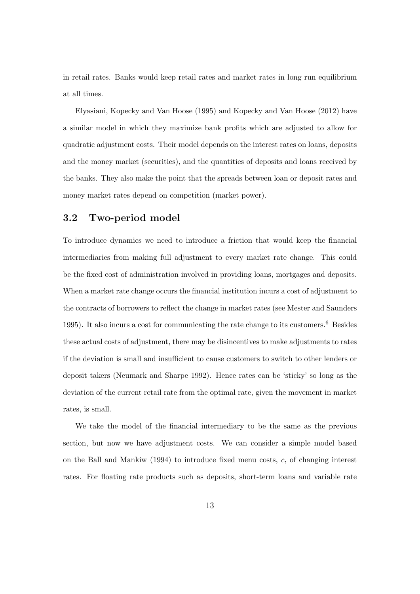in retail rates. Banks would keep retail rates and market rates in long run equilibrium at all times.

Elyasiani, Kopecky and Van Hoose (1995) and Kopecky and Van Hoose (2012) have a similar model in which they maximize bank profits which are adjusted to allow for quadratic adjustment costs. Their model depends on the interest rates on loans, deposits and the money market (securities), and the quantities of deposits and loans received by the banks. They also make the point that the spreads between loan or deposit rates and money market rates depend on competition (market power).

### **3.2 Two-period model**

To introduce dynamics we need to introduce a friction that would keep the financial intermediaries from making full adjustment to every market rate change. This could be the fixed cost of administration involved in providing loans, mortgages and deposits. When a market rate change occurs the financial institution incurs a cost of adjustment to the contracts of borrowers to reflect the change in market rates (see Mester and Saunders 1995). It also incurs a cost for communicating the rate change to its customers.<sup>6</sup> Besides these actual costs of adjustment, there may be disincentives to make adjustments to rates if the deviation is small and insufficient to cause customers to switch to other lenders or deposit takers (Neumark and Sharpe 1992). Hence rates can be 'sticky' so long as the deviation of the current retail rate from the optimal rate, given the movement in market rates, is small.

We take the model of the financial intermediary to be the same as the previous section, but now we have adjustment costs. We can consider a simple model based on the Ball and Mankiw (1994) to introduce fixed menu costs, *c*, of changing interest rates. For floating rate products such as deposits, short-term loans and variable rate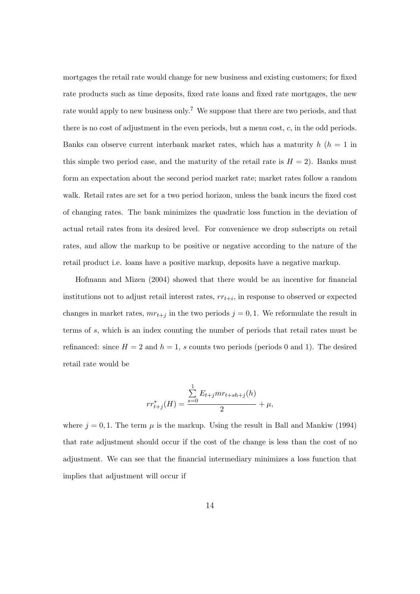mortgages the retail rate would change for new business and existing customers; for fixed rate products such as time deposits, fixed rate loans and fixed rate mortgages, the new rate would apply to new business only.<sup>7</sup> We suppose that there are two periods, and that there is no cost of adjustment in the even periods, but a menu cost, *c*, in the odd periods. Banks can observe current interbank market rates, which has a maturity  $h(h = 1$  in this simple two period case, and the maturity of the retail rate is  $H = 2$ ). Banks must form an expectation about the second period market rate; market rates follow a random walk. Retail rates are set for a two period horizon, unless the bank incurs the fixed cost of changing rates. The bank minimizes the quadratic loss function in the deviation of actual retail rates from its desired level. For convenience we drop subscripts on retail rates, and allow the markup to be positive or negative according to the nature of the retail product i.e. loans have a positive markup, deposits have a negative markup.

Hofmann and Mizen (2004) showed that there would be an incentive for financial institutions not to adjust retail interest rates,  $rr_{t+i}$ , in response to observed or expected changes in market rates,  $mr_{t+j}$  in the two periods  $j = 0, 1$ . We reformulate the result in terms of *s*, which is an index counting the number of periods that retail rates must be refinanced: since  $H = 2$  and  $h = 1$ , s counts two periods (periods 0 and 1). The desired retail rate would be

$$
rr_{t+j}^{*}(H) = \frac{\sum_{s=0}^{1} E_{t+j} m r_{t+sh+j}(h)}{2} + \mu,
$$

where  $j = 0, 1$ . The term  $\mu$  is the markup. Using the result in Ball and Mankiw (1994) that rate adjustment should occur if the cost of the change is less than the cost of no adjustment. We can see that the financial intermediary minimizes a loss function that implies that adjustment will occur if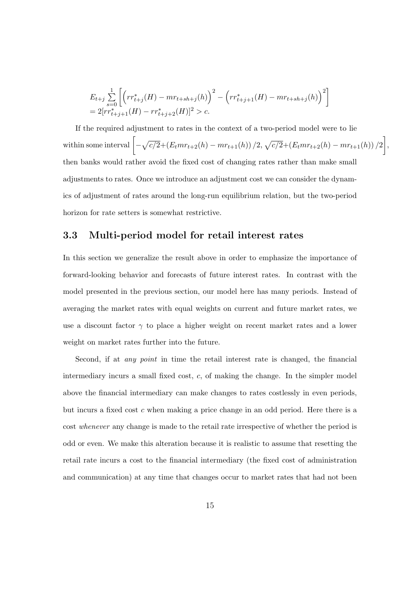$$
\begin{array}{l} E_{t+j} \sum\limits_{s=0}^{1} \left[\left( rr_{t+j}^*(H) - mr_{t+sh+j}(h) \right)^2 - \left( rr_{t+j+1}^*(H) - mr_{t+sh+j}(h) \right)^2 \right] \\ = 2[rr_{t+j+1}^*(H) - rr_{t+j+2}^*(H)]^2 > c. \end{array}
$$

If the required adjustment to rates in the context of a two-period model were to lie within some interval  $\left[ -\sqrt{c/2} + (E_t m r_{t+2}(h) - m r_{t+1}(h)) / 2, \sqrt{c/2} + (E_t m r_{t+2}(h) - m r_{t+1}(h)) / 2 \right],$ then banks would rather avoid the fixed cost of changing rates rather than make small adjustments to rates. Once we introduce an adjustment cost we can consider the dynamics of adjustment of rates around the long-run equilibrium relation, but the two-period horizon for rate setters is somewhat restrictive.

### **3.3 Multi-period model for retail interest rates**

In this section we generalize the result above in order to emphasize the importance of forward-looking behavior and forecasts of future interest rates. In contrast with the model presented in the previous section, our model here has many periods. Instead of averaging the market rates with equal weights on current and future market rates, we use a discount factor *γ* to place a higher weight on recent market rates and a lower weight on market rates further into the future.

Second, if at *any point* in time the retail interest rate is changed, the financial intermediary incurs a small fixed cost, *c*, of making the change. In the simpler model above the financial intermediary can make changes to rates costlessly in even periods, but incurs a fixed cost *c* when making a price change in an odd period. Here there is a cost *whenever* any change is made to the retail rate irrespective of whether the period is odd or even. We make this alteration because it is realistic to assume that resetting the retail rate incurs a cost to the financial intermediary (the fixed cost of administration and communication) at any time that changes occur to market rates that had not been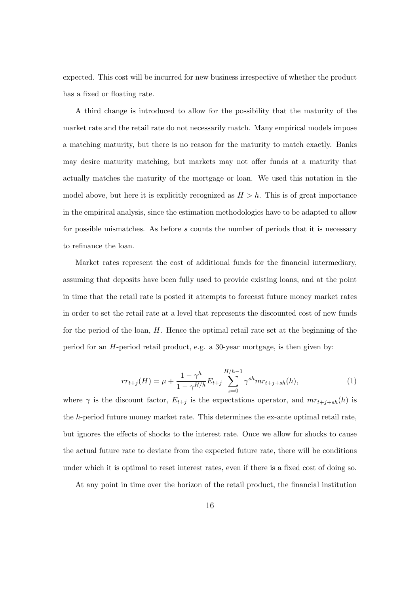expected. This cost will be incurred for new business irrespective of whether the product has a fixed or floating rate.

A third change is introduced to allow for the possibility that the maturity of the market rate and the retail rate do not necessarily match. Many empirical models impose a matching maturity, but there is no reason for the maturity to match exactly. Banks may desire maturity matching, but markets may not offer funds at a maturity that actually matches the maturity of the mortgage or loan. We used this notation in the model above, but here it is explicitly recognized as  $H > h$ . This is of great importance in the empirical analysis, since the estimation methodologies have to be adapted to allow for possible mismatches. As before *s* counts the number of periods that it is necessary to refinance the loan.

Market rates represent the cost of additional funds for the financial intermediary, assuming that deposits have been fully used to provide existing loans, and at the point in time that the retail rate is posted it attempts to forecast future money market rates in order to set the retail rate at a level that represents the discounted cost of new funds for the period of the loan, *H*. Hence the optimal retail rate set at the beginning of the period for an *H*-period retail product, e.g. a 30-year mortgage, is then given by:

$$
rr_{t+j}(H) = \mu + \frac{1 - \gamma^h}{1 - \gamma^{H/h}} E_{t+j} \sum_{s=0}^{H/h-1} \gamma^{sh} mr_{t+j+sh}(h), \tag{1}
$$

where  $\gamma$  is the discount factor,  $E_{t+j}$  is the expectations operator, and  $mr_{t+j+sh}(h)$  is the *h*-period future money market rate. This determines the ex-ante optimal retail rate, but ignores the effects of shocks to the interest rate. Once we allow for shocks to cause the actual future rate to deviate from the expected future rate, there will be conditions under which it is optimal to reset interest rates, even if there is a fixed cost of doing so.

At any point in time over the horizon of the retail product, the financial institution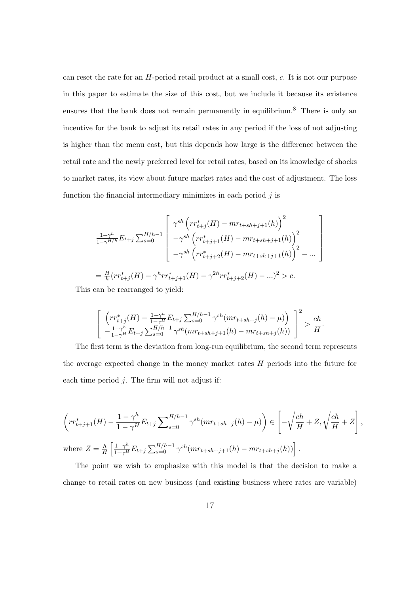can reset the rate for an *H*-period retail product at a small cost, *c*. It is not our purpose in this paper to estimate the size of this cost, but we include it because its existence ensures that the bank does not remain permanently in equilibrium.<sup>8</sup> There is only an incentive for the bank to adjust its retail rates in any period if the loss of not adjusting is higher than the menu cost, but this depends how large is the difference between the retail rate and the newly preferred level for retail rates, based on its knowledge of shocks to market rates, its view about future market rates and the cost of adjustment. The loss function the financial intermediary minimizes in each period *j* is

$$
\frac{1-\gamma^h}{1-\gamma^{H/h}} E_{t+j} \sum_{s=0}^{H/h-1} \begin{bmatrix} \gamma^{sh} \left( rr_{t+j}^*(H) - mr_{t+sh+j+1}(h) \right)^2 \\ -\gamma^{sh} \left( rr_{t+j+1}^*(H) - mr_{t+sh+j+1}(h) \right)^2 \\ -\gamma^{sh} \left( rr_{t+j+2}^*(H) - mr_{t+sh+j+1}(h) \right)^2 - \dots \end{bmatrix}
$$
  
=  $\frac{H}{h} (rr_{t+j}^*(H) - \gamma^h rr_{t+j+1}^*(H) - \gamma^{2h} rr_{t+j+2}^*(H) - \dots)^2 > c.$ 

This can be rearranged to yield:

$$
\left[ \left( rr_{t+j}^{*}(H) - \frac{1-\gamma^{h}}{1-\gamma^{H}} E_{t+j} \sum_{s=0}^{H/h-1} \gamma^{sh}(mr_{t+sh+j}(h) - \mu) \right) \right]^{2} > \frac{ch}{H}
$$
  

$$
-\frac{1-\gamma^{h}}{1-\gamma^{H}} E_{t+j} \sum_{s=0}^{H/h-1} \gamma^{sh}(mr_{t+sh+j+1}(h) - mr_{t+sh+j}(h)) \right]^{2} > \frac{ch}{H}
$$

*.*

The first term is the deviation from long-run equilibrium, the second term represents the average expected change in the money market rates *H* periods into the future for each time period *j*. The firm will not adjust if:

$$
\left( rr_{t+j+1}^{*}(H) - \frac{1-\gamma^{h}}{1-\gamma^{H}} E_{t+j} \sum_{s=0}^{H/h-1} \gamma^{sh}(mr_{t+sh+j}(h) - \mu) \right) \in \left[ -\sqrt{\frac{ch}{H}} + Z, \sqrt{\frac{ch}{H}} + Z \right],
$$
  
where  $Z = \frac{h}{H} \left[ \frac{1-\gamma^{h}}{1-\gamma^{H}} E_{t+j} \sum_{s=0}^{H/h-1} \gamma^{sh}(mr_{t+sh+j+1}(h) - mr_{t+sh+j}(h)) \right].$ 

The point we wish to emphasize with this model is that the decision to make a change to retail rates on new business (and existing business where rates are variable)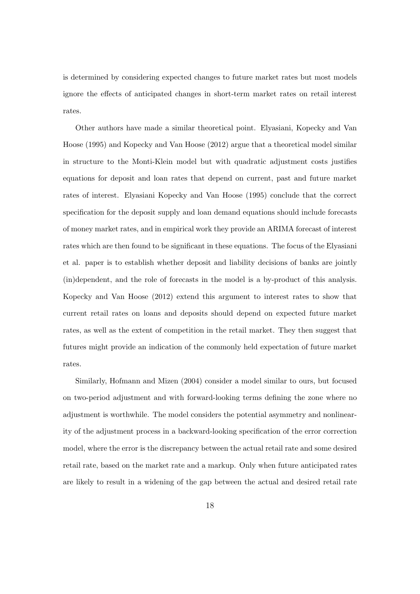is determined by considering expected changes to future market rates but most models ignore the effects of anticipated changes in short-term market rates on retail interest rates.

Other authors have made a similar theoretical point. Elyasiani, Kopecky and Van Hoose (1995) and Kopecky and Van Hoose (2012) argue that a theoretical model similar in structure to the Monti-Klein model but with quadratic adjustment costs justifies equations for deposit and loan rates that depend on current, past and future market rates of interest. Elyasiani Kopecky and Van Hoose (1995) conclude that the correct specification for the deposit supply and loan demand equations should include forecasts of money market rates, and in empirical work they provide an ARIMA forecast of interest rates which are then found to be significant in these equations. The focus of the Elyasiani et al. paper is to establish whether deposit and liability decisions of banks are jointly (in)dependent, and the role of forecasts in the model is a by-product of this analysis. Kopecky and Van Hoose (2012) extend this argument to interest rates to show that current retail rates on loans and deposits should depend on expected future market rates, as well as the extent of competition in the retail market. They then suggest that futures might provide an indication of the commonly held expectation of future market rates.

Similarly, Hofmann and Mizen (2004) consider a model similar to ours, but focused on two-period adjustment and with forward-looking terms defining the zone where no adjustment is worthwhile. The model considers the potential asymmetry and nonlinearity of the adjustment process in a backward-looking specification of the error correction model, where the error is the discrepancy between the actual retail rate and some desired retail rate, based on the market rate and a markup. Only when future anticipated rates are likely to result in a widening of the gap between the actual and desired retail rate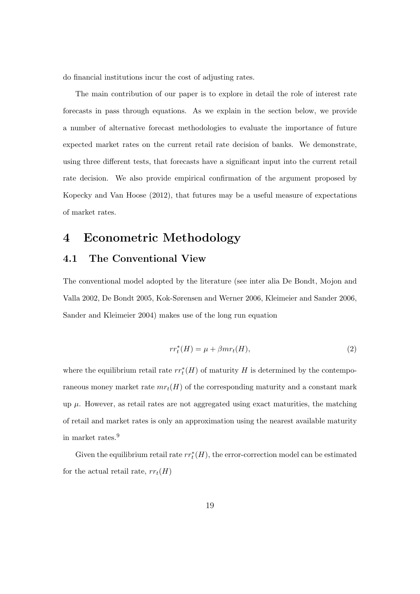do financial institutions incur the cost of adjusting rates.

The main contribution of our paper is to explore in detail the role of interest rate forecasts in pass through equations. As we explain in the section below, we provide a number of alternative forecast methodologies to evaluate the importance of future expected market rates on the current retail rate decision of banks. We demonstrate, using three different tests, that forecasts have a significant input into the current retail rate decision. We also provide empirical confirmation of the argument proposed by Kopecky and Van Hoose (2012), that futures may be a useful measure of expectations of market rates.

# **4 Econometric Methodology**

### **4.1 The Conventional View**

The conventional model adopted by the literature (see inter alia De Bondt, Mojon and Valla 2002, De Bondt 2005, Kok-Sørensen and Werner 2006, Kleimeier and Sander 2006, Sander and Kleimeier 2004) makes use of the long run equation

$$
rr_t^*(H) = \mu + \beta mr_t(H), \qquad (2)
$$

where the equilibrium retail rate  $rr_t^*(H)$  of maturity  $H$  is determined by the contemporaneous money market rate  $mr<sub>t</sub>(H)$  of the corresponding maturity and a constant mark up  $\mu$ . However, as retail rates are not aggregated using exact maturities, the matching of retail and market rates is only an approximation using the nearest available maturity in market rates.<sup>9</sup>

Given the equilibrium retail rate  $rr_t^*(H)$ , the error-correction model can be estimated for the actual retail rate,  $rr_t(H)$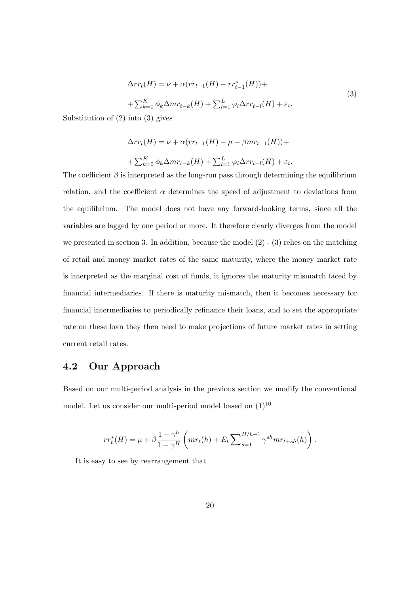$$
\Delta rr_t(H) = \nu + \alpha (rr_{t-1}(H) - rr_{t-1}^*(H)) +
$$
  
+ 
$$
\sum_{k=0}^K \phi_k \Delta mr_{t-k}(H) + \sum_{l=1}^L \varphi_l \Delta rr_{t-l}(H) + \varepsilon_t.
$$
 (3)

Substitution of (2) into (3) gives

$$
\Delta rr_t(H) = \nu + \alpha (rr_{t-1}(H) - \mu - \beta mr_{t-1}(H)) +
$$
  
+ 
$$
\sum_{k=0}^{K} \phi_k \Delta mr_{t-k}(H) + \sum_{l=1}^{L} \varphi_l \Delta rr_{t-l}(H) + \varepsilon_t.
$$

The coefficient  $\beta$  is interpreted as the long-run pass through determining the equilibrium relation, and the coefficient  $\alpha$  determines the speed of adjustment to deviations from the equilibrium. The model does not have any forward-looking terms, since all the variables are lagged by one period or more. It therefore clearly diverges from the model we presented in section 3. In addition, because the model  $(2)$  -  $(3)$  relies on the matching of retail and money market rates of the same maturity, where the money market rate is interpreted as the marginal cost of funds, it ignores the maturity mismatch faced by financial intermediaries. If there is maturity mismatch, then it becomes necessary for financial intermediaries to periodically refinance their loans, and to set the appropriate rate on these loan they then need to make projections of future market rates in setting current retail rates.

### **4.2 Our Approach**

Based on our multi-period analysis in the previous section we modify the conventional model. Let us consider our multi-period model based on  $(1)^{10}$ 

$$
rr_t^*(H) = \mu + \beta \frac{1 - \gamma^h}{1 - \gamma^H} \left( mr_t(h) + E_t \sum_{s=1}^{H/h-1} \gamma^{sh} mr_{t+sh}(h) \right).
$$

It is easy to see by rearrangement that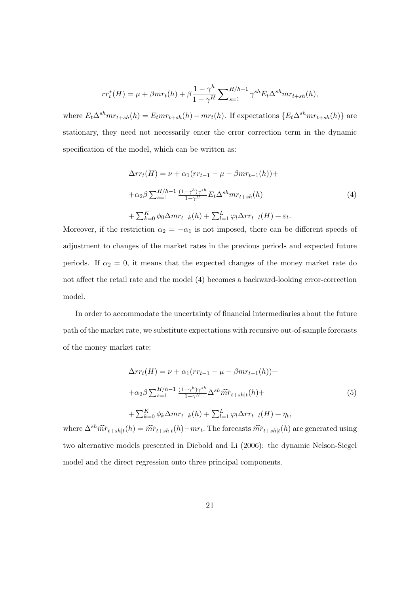$$
rr_t^*(H) = \mu + \beta mr_t(h) + \beta \frac{1 - \gamma^h}{1 - \gamma^H} \sum_{s=1}^{H/h-1} \gamma^{sh} E_t \Delta^{sh} mr_{t+sh}(h),
$$

where  $E_t \Delta^{sh} m r_{t+sh}(h) = E_t m r_{t+sh}(h) - m r_t(h)$ . If expectations  $\{E_t \Delta^{sh} m r_{t+sh}(h)\}$  are stationary, they need not necessarily enter the error correction term in the dynamic specification of the model, which can be written as:

$$
\Delta rr_t(H) = \nu + \alpha_1 (rr_{t-1} - \mu - \beta mr_{t-1}(h)) +
$$
  
+
$$
\alpha_2 \beta \sum_{s=1}^{H/h-1} \frac{(1-\gamma^h)\gamma^{sh}}{1-\gamma^H} E_t \Delta^{sh} mr_{t+sh}(h)
$$
  
+
$$
\sum_{k=0}^{K} \phi_0 \Delta mr_{t-k}(h) + \sum_{l=1}^{L} \varphi_l \Delta rr_{t-l}(H) + \varepsilon_t.
$$
 (4)

Moreover, if the restriction  $\alpha_2 = -\alpha_1$  is not imposed, there can be different speeds of adjustment to changes of the market rates in the previous periods and expected future periods. If  $\alpha_2 = 0$ , it means that the expected changes of the money market rate do not affect the retail rate and the model (4) becomes a backward-looking error-correction model.

In order to accommodate the uncertainty of financial intermediaries about the future path of the market rate, we substitute expectations with recursive out-of-sample forecasts of the money market rate:

$$
\Delta r r_t(H) = \nu + \alpha_1 (r r_{t-1} - \mu - \beta m r_{t-1}(h)) +
$$
  
+
$$
\alpha_2 \beta \sum_{s=1}^{H/h-1} \frac{(1-\gamma^h)\gamma^{sh}}{1-\gamma^H} \Delta^{sh} \widehat{m} \widehat{r}_{t+sh|t}(h) +
$$
  
+
$$
\sum_{k=0}^{K} \phi_k \Delta m r_{t-k}(h) + \sum_{l=1}^{L} \varphi_l \Delta r r_{t-l}(H) + \eta_t,
$$
  
(5)

where  $\Delta^{sh} \widehat{mr}_{t+sh|t}(h) = \widehat{mr}_{t+sh|t}(h) - mr_t$ . The forecasts  $\widehat{mr}_{t+sh|t}(h)$  are generated using two alternative models presented in Diebold and Li (2006): the dynamic Nelson-Siegel model and the direct regression onto three principal components.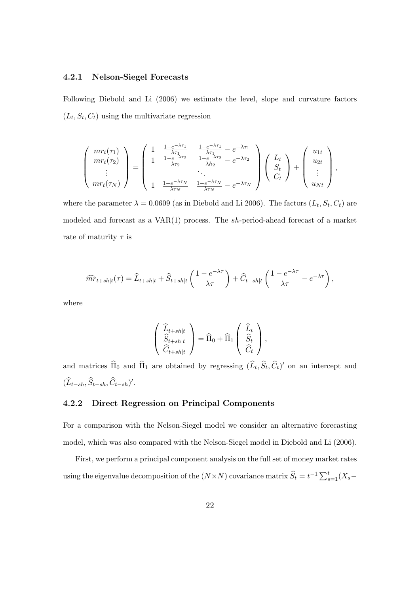### **4.2.1 Nelson-Siegel Forecasts**

Following Diebold and Li (2006) we estimate the level, slope and curvature factors  $(L_t, S_t, C_t)$  using the multivariate regression

$$
\begin{pmatrix}\nm r_t(\tau_1) \\
mr_t(\tau_2) \\
\vdots \\
mr_t(\tau_N)\n\end{pmatrix} = \begin{pmatrix}\n1 & \frac{1 - e^{-\lambda \tau_1}}{\lambda \tau_1} & \frac{1 - e^{-\lambda \tau_1}}{\lambda \tau_1} - e^{-\lambda \tau_1} \\
1 & \frac{1 - e^{-\lambda \tau_2}}{\lambda \tau_2} & \frac{1 - e^{-\lambda \tau_2}}{\lambda \tau_2} - e^{-\lambda \tau_2} \\
\vdots \\
1 & \frac{1 - e^{-\lambda \tau_N}}{\lambda \tau_N} & \frac{1 - e^{-\lambda \tau_N}}{\lambda \tau_N} - e^{-\lambda \tau_N}\n\end{pmatrix}\n\begin{pmatrix}\nL_t \\
S_t \\
C_t\n\end{pmatrix} + \begin{pmatrix}\nu_{1t} \\
u_{2t} \\
\vdots \\
u_{Nt}\n\end{pmatrix},
$$

where the parameter  $\lambda = 0.0609$  (as in Diebold and Li 2006). The factors  $(L_t, S_t, C_t)$  are modeled and forecast as a VAR(1) process. The *sh*-period-ahead forecast of a market rate of maturity *τ* is

$$
\widehat{mr}_{t+sh|t}(\tau) = \widehat{L}_{t+sh|t} + \widehat{S}_{t+sh|t} \left( \frac{1 - e^{-\lambda \tau}}{\lambda \tau} \right) + \widehat{C}_{t+sh|t} \left( \frac{1 - e^{-\lambda \tau}}{\lambda \tau} - e^{-\lambda \tau} \right),
$$

where

$$
\begin{pmatrix}\n\widehat{L}_{t+sh|t} \\
\widehat{S}_{t+sh|t} \\
\widehat{C}_{t+sh|t}\n\end{pmatrix} = \widehat{\Pi}_0 + \widehat{\Pi}_1 \begin{pmatrix}\n\widehat{L}_t \\
\widehat{S}_t \\
\widehat{C}_t\n\end{pmatrix},
$$

and matrices  $\Pi_0$  and  $\Pi_1$  are obtained by regressing  $(L_t, S_t, C_t)'$  on an intercept and  $(L_{t-sh}, S_{t-sh}, C_{t-sh})'$ .

### **4.2.2 Direct Regression on Principal Components**

For a comparison with the Nelson-Siegel model we consider an alternative forecasting model, which was also compared with the Nelson-Siegel model in Diebold and Li (2006).

First, we perform a principal component analysis on the full set of money market rates using the eigenvalue decomposition of the  $(N \times N)$  covariance matrix  $\widehat{S}_t = t^{-1} \sum_{s=1}^t (X_s -$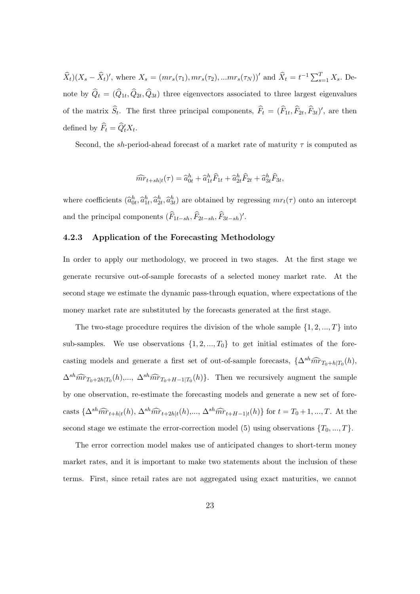$\widehat{X}_t|(X_s-\widehat{X}_t)'$ , where  $X_s = (mr_s(\tau_1), mr_s(\tau_2), ...mr_s(\tau_N))'$  and  $\widehat{X}_t = t^{-1}\sum_{s=1}^T X_s$ . Denote by  $Q_t = (Q_{1t}, Q_{2t}, Q_{3t})$  three eigenvectors associated to three largest eigenvalues of the matrix  $S_t$ . The first three principal components,  $F_t = (F_{1t}, F_{2t}, F_{3t})'$ , are then defined by  $F_t = Q'_t X_t$ .

Second, the *sh*-period-ahead forecast of a market rate of maturity  $\tau$  is computed as

$$
\widehat{mr}_{t+sh|t}(\tau) = \widehat{a}_{0t}^h + \widehat{a}_{1t}^h \widehat{F}_{1t} + \widehat{a}_{2t}^h \widehat{F}_{2t} + \widehat{a}_{3t}^h \widehat{F}_{3t},
$$

where coefficients  $(\hat{a}_{0t}^h, \hat{a}_{1t}^h, \hat{a}_{2t}^h, \hat{a}_{3t}^h)$  are obtained by regressing  $mr_t(\tau)$  onto an intercept and the principal components  $(F_{1t-sh}, F_{2t-sh}, F_{3t-sh})'$ .

### **4.2.3 Application of the Forecasting Methodology**

In order to apply our methodology, we proceed in two stages. At the first stage we generate recursive out-of-sample forecasts of a selected money market rate. At the second stage we estimate the dynamic pass-through equation, where expectations of the money market rate are substituted by the forecasts generated at the first stage.

The two-stage procedure requires the division of the whole sample  $\{1, 2, ..., T\}$  into sub-samples. We use observations  $\{1, 2, ..., T_0\}$  to get initial estimates of the forecasting models and generate a first set of out-of-sample forecasts,  $\{\Delta^{sh} \widehat{mr}_{T_0+h|T_0}(h),\}$  $\Delta^{sh} \widehat{mr}_{T_0+2h|T_0}(h),\dots, \Delta^{sh} \widehat{mr}_{T_0+H-1|T_0}(h)$ . Then we recursively augment the sample by one observation, re-estimate the forecasting models and generate a new set of forecasts  $\{\Delta^{sh} \widehat{mr}_{t+h|t}(h), \Delta^{sh} \widehat{mr}_{t+2h|t}(h), ..., \Delta^{sh} \widehat{mr}_{t+H-1|t}(h)\}\$  for  $t = T_0 + 1, ..., T$ . At the second stage we estimate the error-correction model (5) using observations  $\{T_0, ..., T\}$ .

The error correction model makes use of anticipated changes to short-term money market rates, and it is important to make two statements about the inclusion of these terms. First, since retail rates are not aggregated using exact maturities, we cannot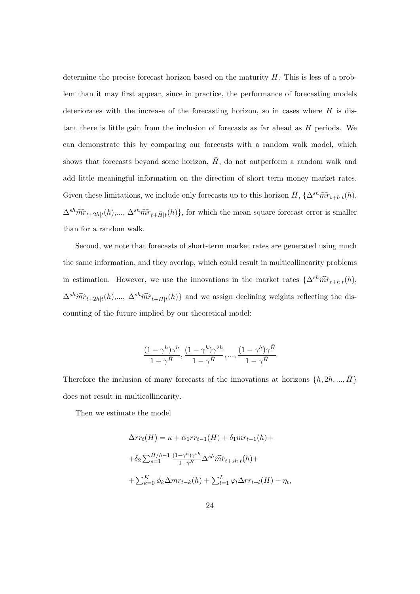determine the precise forecast horizon based on the maturity *H*. This is less of a problem than it may first appear, since in practice, the performance of forecasting models deteriorates with the increase of the forecasting horizon, so in cases where *H* is distant there is little gain from the inclusion of forecasts as far ahead as *H* periods. We can demonstrate this by comparing our forecasts with a random walk model, which shows that forecasts beyond some horizon,  $\bar{H}$ , do not outperform a random walk and add little meaningful information on the direction of short term money market rates. Given these limitations, we include only forecasts up to this horizon  $\bar{H}$ ,  $\{\Delta^{sh} \widehat{mr}_{t+h|t}(h),\}$  $\Delta^{sh} \widehat{mr}_{t+2h|t}(h),...,\Delta^{sh} \widehat{mr}_{t+\overline{H}|t}(h)$ , for which the mean square forecast error is smaller than for a random walk.

Second, we note that forecasts of short-term market rates are generated using much the same information, and they overlap, which could result in multicollinearity problems in estimation. However, we use the innovations in the market rates  $\{\Delta^{sh} \widehat{mr}_{t+h|t}(h),\}$  $\Delta^{sh} \widehat{mr}_{t+2h|t}(h),...,\ \Delta^{sh} \widehat{mr}_{t+\bar{H}|t}(h)$ } and we assign declining weights reflecting the discounting of the future implied by our theoretical model:

$$
\frac{(1-\gamma^h)\gamma^h}{1-\gamma^{\bar{H}}}, \frac{(1-\gamma^h)\gamma^{2h}}{1-\gamma^{\bar{H}}}, ..., \frac{(1-\gamma^h)\gamma^{\bar{H}}}{1-\gamma^{\bar{H}}}
$$

Therefore the inclusion of many forecasts of the innovations at horizons  $\{h, 2h, ..., \bar{H}\}$ does not result in multicollinearity*.*

Then we estimate the model

$$
\Delta rr_t(H) = \kappa + \alpha_1 rr_{t-1}(H) + \delta_1 mr_{t-1}(h) +
$$
  
+
$$
\delta_2 \sum_{s=1}^{\bar{H}/h-1} \frac{(1-\gamma^h)\gamma^{sh}}{1-\gamma^H} \Delta^{sh} \widehat{mr}_{t+sh|t}(h) +
$$
  
+
$$
\sum_{k=0}^K \phi_k \Delta mr_{t-k}(h) + \sum_{l=1}^L \varphi_l \Delta rr_{t-l}(H) + \eta_t,
$$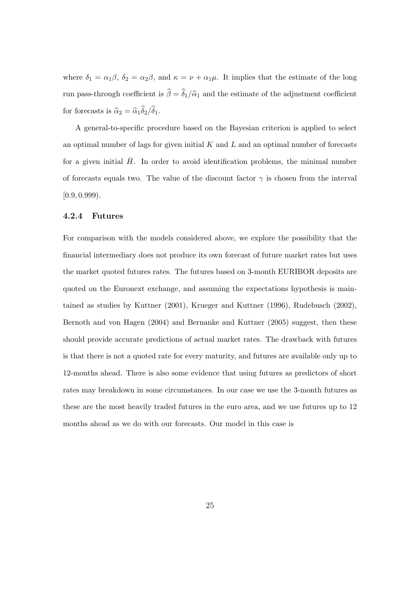where  $\delta_1 = \alpha_1 \beta$ ,  $\delta_2 = \alpha_2 \beta$ , and  $\kappa = \nu + \alpha_1 \mu$ . It implies that the estimate of the long run pass-through coefficient is  $\hat{\beta} = \hat{\delta}_1/\hat{\alpha}_1$  and the estimate of the adjustment coefficient for forecasts is  $\hat{\alpha}_2 = \hat{\alpha}_1 \hat{\delta}_2 / \hat{\delta}_1$ .

A general-to-specific procedure based on the Bayesian criterion is applied to select an optimal number of lags for given initial *K* and *L* and an optimal number of forecasts for a given initial  $\bar{H}$ . In order to avoid identification problems, the minimal number of forecasts equals two. The value of the discount factor  $\gamma$  is chosen from the interval  $[0.9, 0.999)$ .

### **4.2.4 Futures**

For comparison with the models considered above, we explore the possibility that the financial intermediary does not produce its own forecast of future market rates but uses the market quoted futures rates. The futures based on 3-month EURIBOR deposits are quoted on the Euronext exchange, and assuming the expectations hypothesis is maintained as studies by Kuttner (2001), Krueger and Kuttner (1996), Rudebusch (2002), Bernoth and von Hagen (2004) and Bernanke and Kuttner (2005) suggest, then these should provide accurate predictions of actual market rates. The drawback with futures is that there is not a quoted rate for every maturity, and futures are available only up to 12-months ahead. There is also some evidence that using futures as predictors of short rates may breakdown in some circumstances. In our case we use the 3-month futures as these are the most heavily traded futures in the euro area, and we use futures up to 12 months ahead as we do with our forecasts. Our model in this case is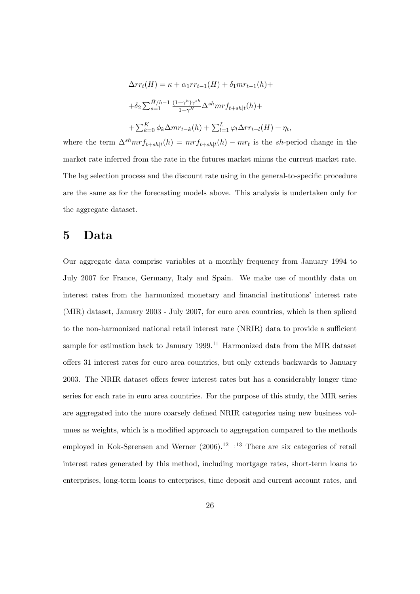$$
\Delta rr_t(H) = \kappa + \alpha_1 rr_{t-1}(H) + \delta_1 mr_{t-1}(h) +
$$
  
+
$$
\delta_2 \sum_{s=1}^{\bar{H}/h-1} \frac{(1-\gamma^h)\gamma^{sh}}{1-\gamma^H} \Delta^{sh} mr f_{t+sh|t}(h) +
$$
  
+
$$
\sum_{k=0}^K \phi_k \Delta mr_{t-k}(h) + \sum_{l=1}^L \varphi_l \Delta rr_{t-l}(H) + \eta_t,
$$

where the term  $\Delta^{sh} m r f_{t+sh|t}(h) = m r f_{t+sh|t}(h) - m r_t$  is the *sh*-period change in the market rate inferred from the rate in the futures market minus the current market rate. The lag selection process and the discount rate using in the general-to-specific procedure are the same as for the forecasting models above. This analysis is undertaken only for the aggregate dataset.

## **5 Data**

Our aggregate data comprise variables at a monthly frequency from January 1994 to July 2007 for France, Germany, Italy and Spain. We make use of monthly data on interest rates from the harmonized monetary and financial institutions' interest rate (MIR) dataset, January 2003 - July 2007, for euro area countries, which is then spliced to the non-harmonized national retail interest rate (NRIR) data to provide a sufficient sample for estimation back to January 1999.<sup>11</sup> Harmonized data from the MIR dataset offers 31 interest rates for euro area countries, but only extends backwards to January 2003. The NRIR dataset offers fewer interest rates but has a considerably longer time series for each rate in euro area countries. For the purpose of this study, the MIR series are aggregated into the more coarsely defined NRIR categories using new business volumes as weights, which is a modified approach to aggregation compared to the methods employed in Kok-Sørensen and Werner (2006).<sup>12</sup><sup>,13</sup> There are six categories of retail interest rates generated by this method, including mortgage rates, short-term loans to enterprises, long-term loans to enterprises, time deposit and current account rates, and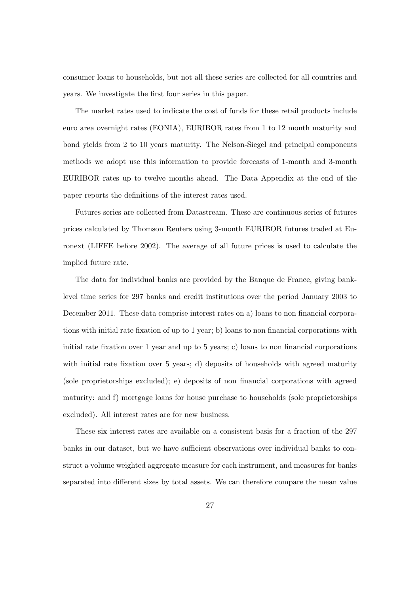consumer loans to households, but not all these series are collected for all countries and years. We investigate the first four series in this paper.

The market rates used to indicate the cost of funds for these retail products include euro area overnight rates (EONIA), EURIBOR rates from 1 to 12 month maturity and bond yields from 2 to 10 years maturity. The Nelson-Siegel and principal components methods we adopt use this information to provide forecasts of 1-month and 3-month EURIBOR rates up to twelve months ahead. The Data Appendix at the end of the paper reports the definitions of the interest rates used.

Futures series are collected from Datastream. These are continuous series of futures prices calculated by Thomson Reuters using 3-month EURIBOR futures traded at Euronext (LIFFE before 2002). The average of all future prices is used to calculate the implied future rate.

The data for individual banks are provided by the Banque de France, giving banklevel time series for 297 banks and credit institutions over the period January 2003 to December 2011. These data comprise interest rates on a) loans to non financial corporations with initial rate fixation of up to 1 year; b) loans to non financial corporations with initial rate fixation over 1 year and up to 5 years; c) loans to non financial corporations with initial rate fixation over 5 years; d) deposits of households with agreed maturity (sole proprietorships excluded); e) deposits of non financial corporations with agreed maturity: and f) mortgage loans for house purchase to households (sole proprietorships excluded). All interest rates are for new business.

These six interest rates are available on a consistent basis for a fraction of the 297 banks in our dataset, but we have sufficient observations over individual banks to construct a volume weighted aggregate measure for each instrument, and measures for banks separated into different sizes by total assets. We can therefore compare the mean value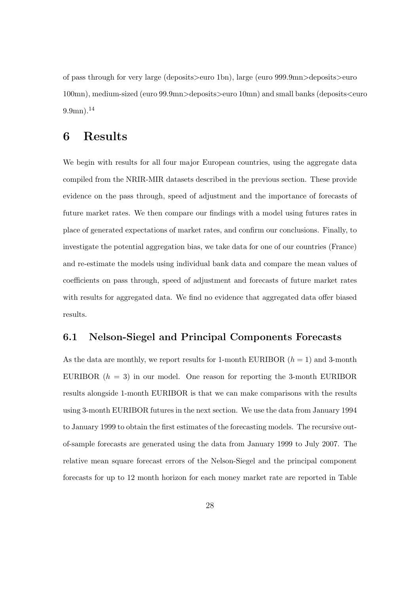of pass through for very large (deposits*>*euro 1bn), large (euro 999.9mn*>*deposits*>*euro 100mn), medium-sized (euro 99.9mn*>*deposits*>*euro 10mn) and small banks (deposits*<*euro  $9.9$ mn).<sup>14</sup>

# **6 Results**

We begin with results for all four major European countries, using the aggregate data compiled from the NRIR-MIR datasets described in the previous section. These provide evidence on the pass through, speed of adjustment and the importance of forecasts of future market rates. We then compare our findings with a model using futures rates in place of generated expectations of market rates, and confirm our conclusions. Finally, to investigate the potential aggregation bias, we take data for one of our countries (France) and re-estimate the models using individual bank data and compare the mean values of coefficients on pass through, speed of adjustment and forecasts of future market rates with results for aggregated data. We find no evidence that aggregated data offer biased results.

### **6.1 Nelson-Siegel and Principal Components Forecasts**

As the data are monthly, we report results for 1-month EURIBOR  $(h = 1)$  and 3-month EURIBOR  $(h = 3)$  in our model. One reason for reporting the 3-month EURIBOR results alongside 1-month EURIBOR is that we can make comparisons with the results using 3-month EURIBOR futures in the next section. We use the data from January 1994 to January 1999 to obtain the first estimates of the forecasting models. The recursive outof-sample forecasts are generated using the data from January 1999 to July 2007. The relative mean square forecast errors of the Nelson-Siegel and the principal component forecasts for up to 12 month horizon for each money market rate are reported in Table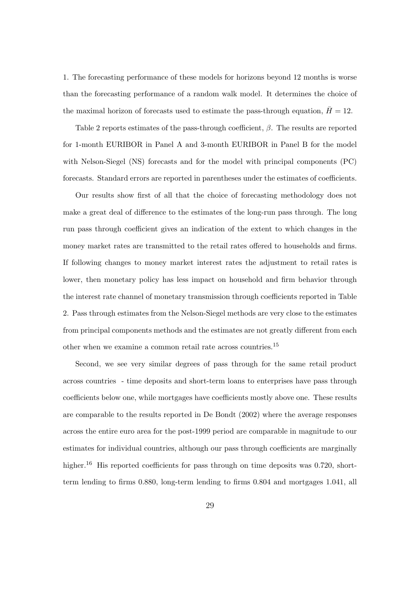1. The forecasting performance of these models for horizons beyond 12 months is worse than the forecasting performance of a random walk model. It determines the choice of the maximal horizon of forecasts used to estimate the pass-through equation,  $\bar{H} = 12$ .

Table 2 reports estimates of the pass-through coefficient, *β*. The results are reported for 1-month EURIBOR in Panel A and 3-month EURIBOR in Panel B for the model with Nelson-Siegel (NS) forecasts and for the model with principal components (PC) forecasts. Standard errors are reported in parentheses under the estimates of coefficients.

Our results show first of all that the choice of forecasting methodology does not make a great deal of difference to the estimates of the long-run pass through. The long run pass through coefficient gives an indication of the extent to which changes in the money market rates are transmitted to the retail rates offered to households and firms. If following changes to money market interest rates the adjustment to retail rates is lower, then monetary policy has less impact on household and firm behavior through the interest rate channel of monetary transmission through coefficients reported in Table 2. Pass through estimates from the Nelson-Siegel methods are very close to the estimates from principal components methods and the estimates are not greatly different from each other when we examine a common retail rate across countries.<sup>15</sup>

Second, we see very similar degrees of pass through for the same retail product across countries - time deposits and short-term loans to enterprises have pass through coefficients below one, while mortgages have coefficients mostly above one. These results are comparable to the results reported in De Bondt (2002) where the average responses across the entire euro area for the post-1999 period are comparable in magnitude to our estimates for individual countries, although our pass through coefficients are marginally higher.<sup>16</sup> His reported coefficients for pass through on time deposits was 0.720, shortterm lending to firms 0.880, long-term lending to firms 0.804 and mortgages 1.041, all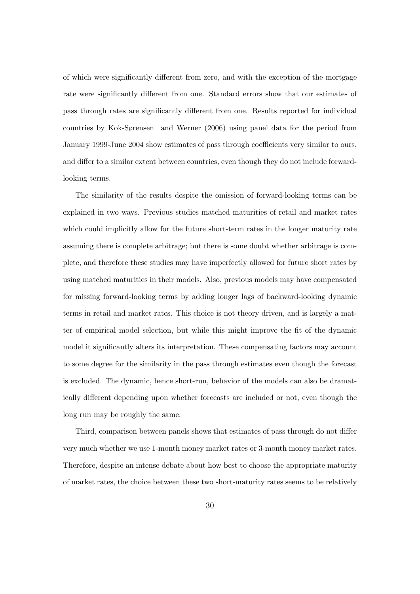of which were significantly different from zero, and with the exception of the mortgage rate were significantly different from one. Standard errors show that our estimates of pass through rates are significantly different from one. Results reported for individual countries by Kok-Sørensen and Werner (2006) using panel data for the period from January 1999-June 2004 show estimates of pass through coefficients very similar to ours, and differ to a similar extent between countries, even though they do not include forwardlooking terms.

The similarity of the results despite the omission of forward-looking terms can be explained in two ways. Previous studies matched maturities of retail and market rates which could implicitly allow for the future short-term rates in the longer maturity rate assuming there is complete arbitrage; but there is some doubt whether arbitrage is complete, and therefore these studies may have imperfectly allowed for future short rates by using matched maturities in their models. Also, previous models may have compensated for missing forward-looking terms by adding longer lags of backward-looking dynamic terms in retail and market rates. This choice is not theory driven, and is largely a matter of empirical model selection, but while this might improve the fit of the dynamic model it significantly alters its interpretation. These compensating factors may account to some degree for the similarity in the pass through estimates even though the forecast is excluded. The dynamic, hence short-run, behavior of the models can also be dramatically different depending upon whether forecasts are included or not, even though the long run may be roughly the same.

Third, comparison between panels shows that estimates of pass through do not differ very much whether we use 1-month money market rates or 3-month money market rates. Therefore, despite an intense debate about how best to choose the appropriate maturity of market rates, the choice between these two short-maturity rates seems to be relatively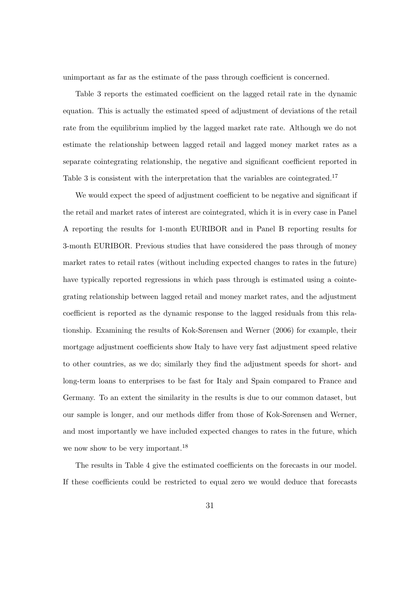unimportant as far as the estimate of the pass through coefficient is concerned.

Table 3 reports the estimated coefficient on the lagged retail rate in the dynamic equation. This is actually the estimated speed of adjustment of deviations of the retail rate from the equilibrium implied by the lagged market rate rate. Although we do not estimate the relationship between lagged retail and lagged money market rates as a separate cointegrating relationship, the negative and significant coefficient reported in Table 3 is consistent with the interpretation that the variables are cointegrated.<sup>17</sup>

We would expect the speed of adjustment coefficient to be negative and significant if the retail and market rates of interest are cointegrated, which it is in every case in Panel A reporting the results for 1-month EURIBOR and in Panel B reporting results for 3-month EURIBOR. Previous studies that have considered the pass through of money market rates to retail rates (without including expected changes to rates in the future) have typically reported regressions in which pass through is estimated using a cointegrating relationship between lagged retail and money market rates, and the adjustment coefficient is reported as the dynamic response to the lagged residuals from this relationship. Examining the results of Kok-Sørensen and Werner (2006) for example, their mortgage adjustment coefficients show Italy to have very fast adjustment speed relative to other countries, as we do; similarly they find the adjustment speeds for short- and long-term loans to enterprises to be fast for Italy and Spain compared to France and Germany. To an extent the similarity in the results is due to our common dataset, but our sample is longer, and our methods differ from those of Kok-Sørensen and Werner, and most importantly we have included expected changes to rates in the future, which we now show to be very important.<sup>18</sup>

The results in Table 4 give the estimated coefficients on the forecasts in our model. If these coefficients could be restricted to equal zero we would deduce that forecasts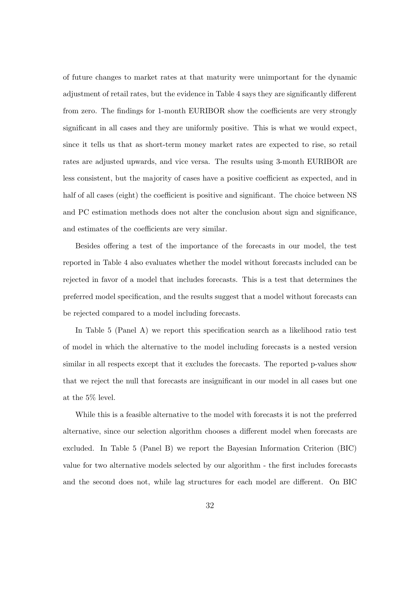of future changes to market rates at that maturity were unimportant for the dynamic adjustment of retail rates, but the evidence in Table 4 says they are significantly different from zero. The findings for 1-month EURIBOR show the coefficients are very strongly significant in all cases and they are uniformly positive. This is what we would expect, since it tells us that as short-term money market rates are expected to rise, so retail rates are adjusted upwards, and vice versa. The results using 3-month EURIBOR are less consistent, but the majority of cases have a positive coefficient as expected, and in half of all cases (eight) the coefficient is positive and significant. The choice between NS and PC estimation methods does not alter the conclusion about sign and significance, and estimates of the coefficients are very similar.

Besides offering a test of the importance of the forecasts in our model, the test reported in Table 4 also evaluates whether the model without forecasts included can be rejected in favor of a model that includes forecasts. This is a test that determines the preferred model specification, and the results suggest that a model without forecasts can be rejected compared to a model including forecasts.

In Table 5 (Panel A) we report this specification search as a likelihood ratio test of model in which the alternative to the model including forecasts is a nested version similar in all respects except that it excludes the forecasts. The reported p-values show that we reject the null that forecasts are insignificant in our model in all cases but one at the 5% level.

While this is a feasible alternative to the model with forecasts it is not the preferred alternative, since our selection algorithm chooses a different model when forecasts are excluded. In Table 5 (Panel B) we report the Bayesian Information Criterion (BIC) value for two alternative models selected by our algorithm - the first includes forecasts and the second does not, while lag structures for each model are different. On BIC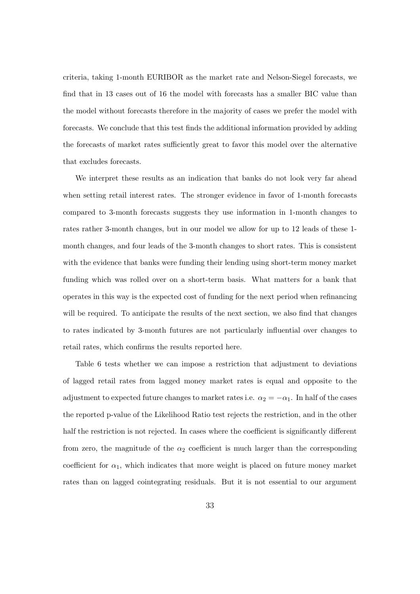criteria, taking 1-month EURIBOR as the market rate and Nelson-Siegel forecasts, we find that in 13 cases out of 16 the model with forecasts has a smaller BIC value than the model without forecasts therefore in the majority of cases we prefer the model with forecasts. We conclude that this test finds the additional information provided by adding the forecasts of market rates sufficiently great to favor this model over the alternative that excludes forecasts.

We interpret these results as an indication that banks do not look very far ahead when setting retail interest rates. The stronger evidence in favor of 1-month forecasts compared to 3-month forecasts suggests they use information in 1-month changes to rates rather 3-month changes, but in our model we allow for up to 12 leads of these 1 month changes, and four leads of the 3-month changes to short rates. This is consistent with the evidence that banks were funding their lending using short-term money market funding which was rolled over on a short-term basis. What matters for a bank that operates in this way is the expected cost of funding for the next period when refinancing will be required. To anticipate the results of the next section, we also find that changes to rates indicated by 3-month futures are not particularly influential over changes to retail rates, which confirms the results reported here.

Table 6 tests whether we can impose a restriction that adjustment to deviations of lagged retail rates from lagged money market rates is equal and opposite to the adjustment to expected future changes to market rates i.e.  $\alpha_2 = -\alpha_1$ . In half of the cases the reported p-value of the Likelihood Ratio test rejects the restriction, and in the other half the restriction is not rejected. In cases where the coefficient is significantly different from zero, the magnitude of the  $\alpha_2$  coefficient is much larger than the corresponding coefficient for  $\alpha_1$ , which indicates that more weight is placed on future money market rates than on lagged cointegrating residuals. But it is not essential to our argument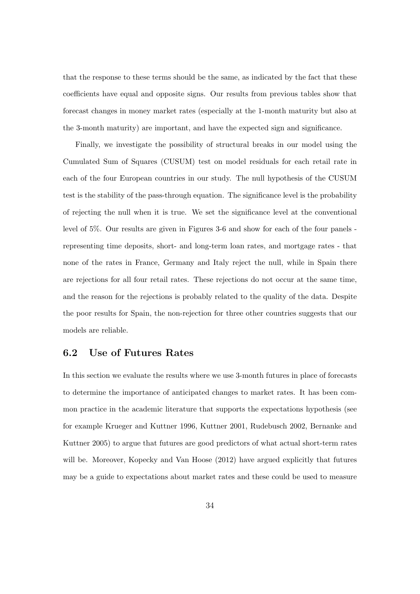that the response to these terms should be the same, as indicated by the fact that these coefficients have equal and opposite signs. Our results from previous tables show that forecast changes in money market rates (especially at the 1-month maturity but also at the 3-month maturity) are important, and have the expected sign and significance.

Finally, we investigate the possibility of structural breaks in our model using the Cumulated Sum of Squares (CUSUM) test on model residuals for each retail rate in each of the four European countries in our study. The null hypothesis of the CUSUM test is the stability of the pass-through equation. The significance level is the probability of rejecting the null when it is true. We set the significance level at the conventional level of 5%. Our results are given in Figures 3-6 and show for each of the four panels representing time deposits, short- and long-term loan rates, and mortgage rates - that none of the rates in France, Germany and Italy reject the null, while in Spain there are rejections for all four retail rates. These rejections do not occur at the same time, and the reason for the rejections is probably related to the quality of the data. Despite the poor results for Spain, the non-rejection for three other countries suggests that our models are reliable.

### **6.2 Use of Futures Rates**

In this section we evaluate the results where we use 3-month futures in place of forecasts to determine the importance of anticipated changes to market rates. It has been common practice in the academic literature that supports the expectations hypothesis (see for example Krueger and Kuttner 1996, Kuttner 2001, Rudebusch 2002, Bernanke and Kuttner 2005) to argue that futures are good predictors of what actual short-term rates will be. Moreover, Kopecky and Van Hoose (2012) have argued explicitly that futures may be a guide to expectations about market rates and these could be used to measure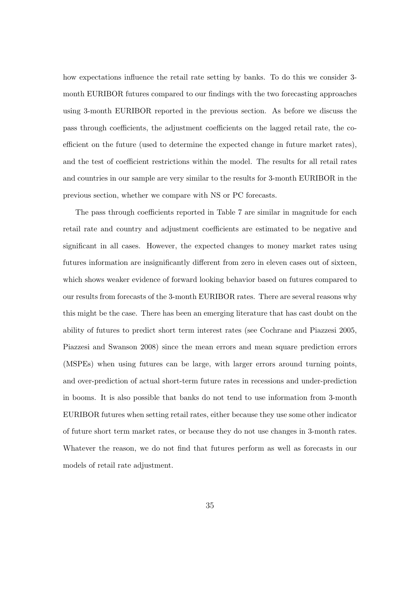how expectations influence the retail rate setting by banks. To do this we consider 3 month EURIBOR futures compared to our findings with the two forecasting approaches using 3-month EURIBOR reported in the previous section. As before we discuss the pass through coefficients, the adjustment coefficients on the lagged retail rate, the coefficient on the future (used to determine the expected change in future market rates), and the test of coefficient restrictions within the model. The results for all retail rates and countries in our sample are very similar to the results for 3-month EURIBOR in the previous section, whether we compare with NS or PC forecasts.

The pass through coefficients reported in Table 7 are similar in magnitude for each retail rate and country and adjustment coefficients are estimated to be negative and significant in all cases. However, the expected changes to money market rates using futures information are insignificantly different from zero in eleven cases out of sixteen, which shows weaker evidence of forward looking behavior based on futures compared to our results from forecasts of the 3-month EURIBOR rates. There are several reasons why this might be the case. There has been an emerging literature that has cast doubt on the ability of futures to predict short term interest rates (see Cochrane and Piazzesi 2005, Piazzesi and Swanson 2008) since the mean errors and mean square prediction errors (MSPEs) when using futures can be large, with larger errors around turning points, and over-prediction of actual short-term future rates in recessions and under-prediction in booms. It is also possible that banks do not tend to use information from 3-month EURIBOR futures when setting retail rates, either because they use some other indicator of future short term market rates, or because they do not use changes in 3-month rates. Whatever the reason, we do not find that futures perform as well as forecasts in our models of retail rate adjustment.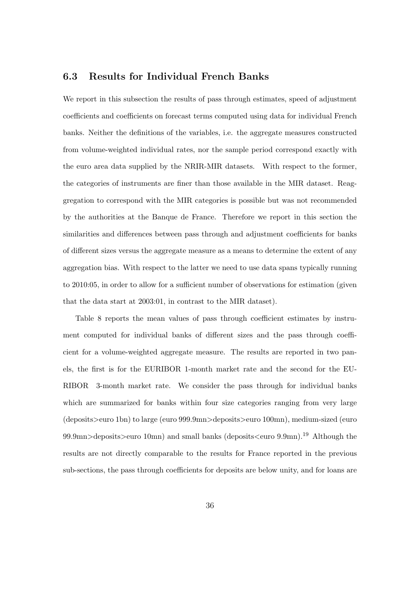## **6.3 Results for Individual French Banks**

We report in this subsection the results of pass through estimates, speed of adjustment coefficients and coefficients on forecast terms computed using data for individual French banks. Neither the definitions of the variables, i.e. the aggregate measures constructed from volume-weighted individual rates, nor the sample period correspond exactly with the euro area data supplied by the NRIR-MIR datasets. With respect to the former, the categories of instruments are finer than those available in the MIR dataset. Reaggregation to correspond with the MIR categories is possible but was not recommended by the authorities at the Banque de France. Therefore we report in this section the similarities and differences between pass through and adjustment coefficients for banks of different sizes versus the aggregate measure as a means to determine the extent of any aggregation bias. With respect to the latter we need to use data spans typically running to 2010:05, in order to allow for a sufficient number of observations for estimation (given that the data start at 2003:01, in contrast to the MIR dataset).

Table 8 reports the mean values of pass through coefficient estimates by instrument computed for individual banks of different sizes and the pass through coefficient for a volume-weighted aggregate measure. The results are reported in two panels, the first is for the EURIBOR 1-month market rate and the second for the EU-RIBOR 3-month market rate. We consider the pass through for individual banks which are summarized for banks within four size categories ranging from very large (deposits*>*euro 1bn) to large (euro 999.9mn*>*deposits*>*euro 100mn), medium-sized (euro 99.9mn*>*deposits*>*euro 10mn) and small banks (deposits*<*euro 9.9mn).<sup>19</sup> Although the results are not directly comparable to the results for France reported in the previous sub-sections, the pass through coefficients for deposits are below unity, and for loans are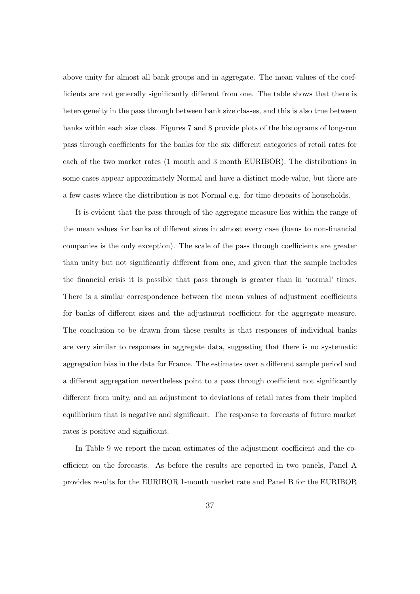above unity for almost all bank groups and in aggregate. The mean values of the coefficients are not generally significantly different from one. The table shows that there is heterogeneity in the pass through between bank size classes, and this is also true between banks within each size class. Figures 7 and 8 provide plots of the histograms of long-run pass through coefficients for the banks for the six different categories of retail rates for each of the two market rates (1 month and 3 month EURIBOR). The distributions in some cases appear approximately Normal and have a distinct mode value, but there are a few cases where the distribution is not Normal e.g. for time deposits of households.

It is evident that the pass through of the aggregate measure lies within the range of the mean values for banks of different sizes in almost every case (loans to non-financial companies is the only exception). The scale of the pass through coefficients are greater than unity but not significantly different from one, and given that the sample includes the financial crisis it is possible that pass through is greater than in 'normal' times. There is a similar correspondence between the mean values of adjustment coefficients for banks of different sizes and the adjustment coefficient for the aggregate measure. The conclusion to be drawn from these results is that responses of individual banks are very similar to responses in aggregate data, suggesting that there is no systematic aggregation bias in the data for France. The estimates over a different sample period and a different aggregation nevertheless point to a pass through coefficient not significantly different from unity, and an adjustment to deviations of retail rates from their implied equilibrium that is negative and significant. The response to forecasts of future market rates is positive and significant.

In Table 9 we report the mean estimates of the adjustment coefficient and the coefficient on the forecasts. As before the results are reported in two panels, Panel A provides results for the EURIBOR 1-month market rate and Panel B for the EURIBOR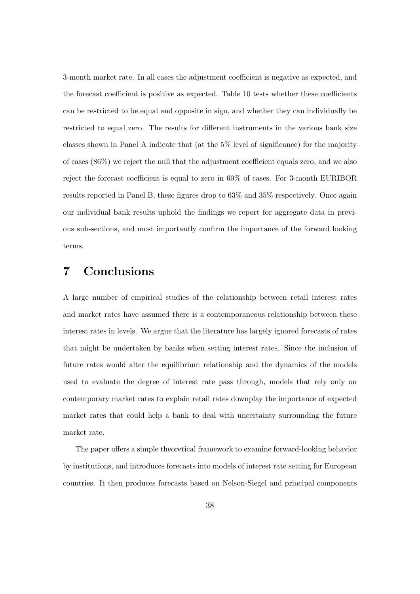3-month market rate. In all cases the adjustment coefficient is negative as expected, and the forecast coefficient is positive as expected. Table 10 tests whether these coefficients can be restricted to be equal and opposite in sign, and whether they can individually be restricted to equal zero. The results for different instruments in the various bank size classes shown in Panel A indicate that (at the 5% level of significance) for the majority of cases (86%) we reject the null that the adjustment coefficient equals zero, and we also reject the forecast coefficient is equal to zero in 60% of cases. For 3-month EURIBOR results reported in Panel B, these figures drop to 63% and 35% respectively. Once again our individual bank results uphold the findings we report for aggregate data in previous sub-sections, and most importantly confirm the importance of the forward looking terms.

# **7 Conclusions**

A large number of empirical studies of the relationship between retail interest rates and market rates have assumed there is a contemporaneous relationship between these interest rates in levels. We argue that the literature has largely ignored forecasts of rates that might be undertaken by banks when setting interest rates. Since the inclusion of future rates would alter the equilibrium relationship and the dynamics of the models used to evaluate the degree of interest rate pass through, models that rely only on contemporary market rates to explain retail rates downplay the importance of expected market rates that could help a bank to deal with uncertainty surrounding the future market rate.

The paper offers a simple theoretical framework to examine forward-looking behavior by institutions, and introduces forecasts into models of interest rate setting for European countries. It then produces forecasts based on Nelson-Siegel and principal components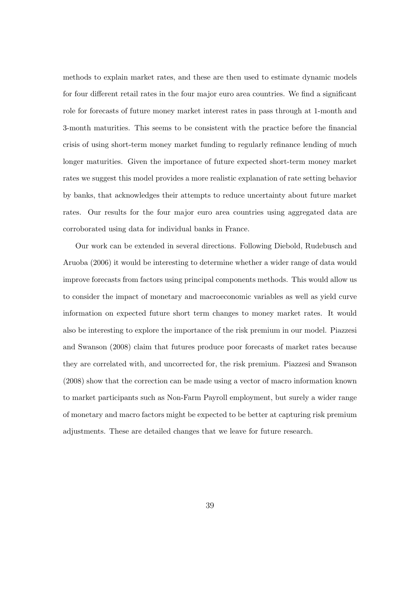methods to explain market rates, and these are then used to estimate dynamic models for four different retail rates in the four major euro area countries. We find a significant role for forecasts of future money market interest rates in pass through at 1-month and 3-month maturities. This seems to be consistent with the practice before the financial crisis of using short-term money market funding to regularly refinance lending of much longer maturities. Given the importance of future expected short-term money market rates we suggest this model provides a more realistic explanation of rate setting behavior by banks, that acknowledges their attempts to reduce uncertainty about future market rates. Our results for the four major euro area countries using aggregated data are corroborated using data for individual banks in France.

Our work can be extended in several directions. Following Diebold, Rudebusch and Aruoba (2006) it would be interesting to determine whether a wider range of data would improve forecasts from factors using principal components methods. This would allow us to consider the impact of monetary and macroeconomic variables as well as yield curve information on expected future short term changes to money market rates. It would also be interesting to explore the importance of the risk premium in our model. Piazzesi and Swanson (2008) claim that futures produce poor forecasts of market rates because they are correlated with, and uncorrected for, the risk premium. Piazzesi and Swanson (2008) show that the correction can be made using a vector of macro information known to market participants such as Non-Farm Payroll employment, but surely a wider range of monetary and macro factors might be expected to be better at capturing risk premium adjustments. These are detailed changes that we leave for future research.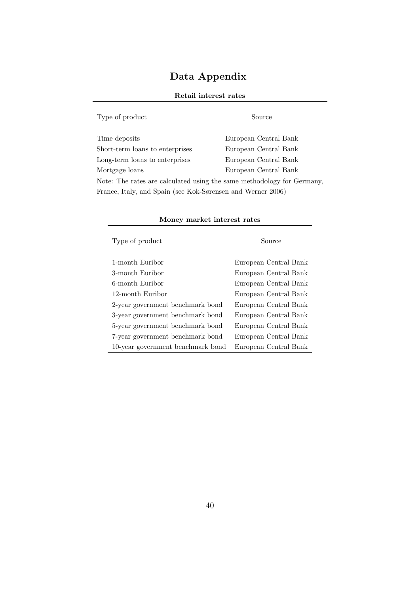# **Data Appendix**

| Type of product                                                                                                              | Source                |
|------------------------------------------------------------------------------------------------------------------------------|-----------------------|
|                                                                                                                              |                       |
| Time deposits                                                                                                                | European Central Bank |
| Short-term loans to enterprises                                                                                              | European Central Bank |
| Long-term loans to enterprises                                                                                               | European Central Bank |
| Mortgage loans                                                                                                               | European Central Bank |
| $\mathbf{M}_{\text{min}}$ . The matrix can colour of the desired to the component of the delivery from $\alpha$ and $\alpha$ |                       |

## **Retail interest rates**

Note: The rates are calculated using the same methodology for Germany, France, Italy, and Spain (see Kok-Sørensen and Werner 2006)

| Type of product                   | Source                |
|-----------------------------------|-----------------------|
|                                   |                       |
| 1-month Euribor                   | European Central Bank |
| 3-month Euribor                   | European Central Bank |
| 6-month Euribor                   | European Central Bank |
| 12-month Euribor                  | European Central Bank |
| 2-year government benchmark bond  | European Central Bank |
| 3-year government benchmark bond  | European Central Bank |
| 5-year government benchmark bond  | European Central Bank |
| 7-year government benchmark bond  | European Central Bank |
| 10-year government benchmark bond | European Central Bank |

## **Money market interest rates**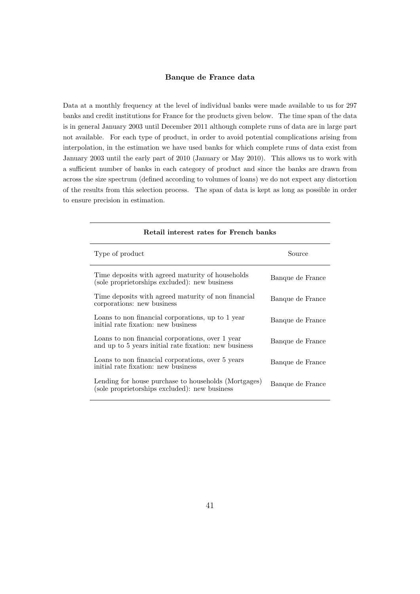### **Banque de France data**

Data at a monthly frequency at the level of individual banks were made available to us for 297 banks and credit institutions for France for the products given below. The time span of the data is in general January 2003 until December 2011 although complete runs of data are in large part not available. For each type of product, in order to avoid potential complications arising from interpolation, in the estimation we have used banks for which complete runs of data exist from January 2003 until the early part of 2010 (January or May 2010). This allows us to work with a sufficient number of banks in each category of product and since the banks are drawn from across the size spectrum (defined according to volumes of loans) we do not expect any distortion of the results from this selection process. The span of data is kept as long as possible in order to ensure precision in estimation.

| Retail interest rates for French banks                                                                    |                  |
|-----------------------------------------------------------------------------------------------------------|------------------|
| Type of product                                                                                           | Source           |
| Time deposits with agreed maturity of households<br>(sole proprietorships excluded): new business         | Banque de France |
| Time deposits with agreed maturity of non-financial<br>corporations: new business                         | Banque de France |
| Loans to non financial corporations, up to 1 year<br>initial rate fixation: new business                  | Banque de France |
| Loans to non financial corporations, over 1 year<br>and up to 5 years initial rate fixation: new business | Banque de France |
| Loans to non financial corporations, over 5 years<br>initial rate fixation: new business                  | Banque de France |
| Lending for house purchase to households (Mortgages)<br>(sole proprietorships excluded): new business     | Banque de France |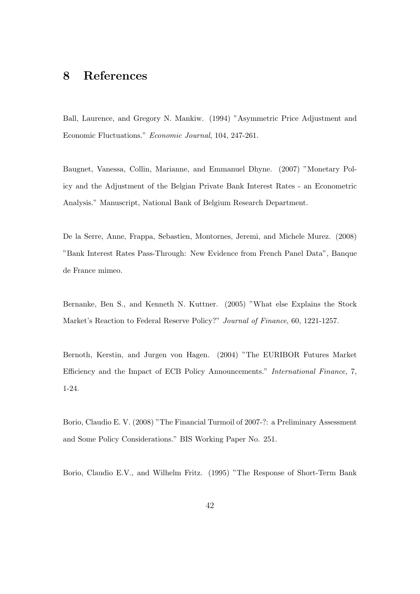# **8 References**

Ball, Laurence, and Gregory N. Mankiw. (1994) "Asymmetric Price Adjustment and Economic Fluctuations." *Economic Journal*, 104, 247-261.

Baugnet, Vanessa, Collin, Marianne, and Emmanuel Dhyne. (2007) "Monetary Policy and the Adjustment of the Belgian Private Bank Interest Rates - an Econometric Analysis." Manuscript, National Bank of Belgium Research Department.

De la Serre, Anne, Frappa, Sebastien, Montornes, Jeremi, and Michele Murez. (2008) "Bank Interest Rates Pass-Through: New Evidence from French Panel Data", Banque de France mimeo.

Bernanke, Ben S., and Kenneth N. Kuttner. (2005) "What else Explains the Stock Market's Reaction to Federal Reserve Policy?" *Journal of Finance*, 60, 1221-1257.

Bernoth, Kerstin, and Jurgen von Hagen. (2004) "The EURIBOR Futures Market Efficiency and the Impact of ECB Policy Announcements." *International Finance*, 7, 1-24.

Borio, Claudio E. V. (2008) "The Financial Turmoil of 2007-?: a Preliminary Assessment and Some Policy Considerations." BIS Working Paper No. 251.

Borio, Claudio E.V., and Wilhelm Fritz. (1995) "The Response of Short-Term Bank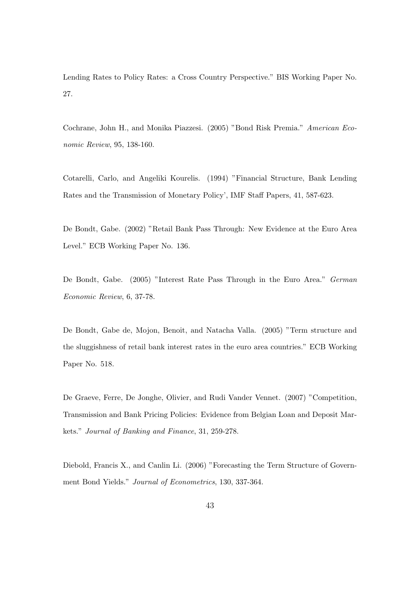Lending Rates to Policy Rates: a Cross Country Perspective." BIS Working Paper No. 27.

Cochrane, John H., and Monika Piazzesi. (2005) "Bond Risk Premia." *American Economic Review*, 95, 138-160.

Cotarelli, Carlo, and Angeliki Kourelis. (1994) "Financial Structure, Bank Lending Rates and the Transmission of Monetary Policy', IMF Staff Papers, 41, 587-623.

De Bondt, Gabe. (2002) "Retail Bank Pass Through: New Evidence at the Euro Area Level." ECB Working Paper No. 136.

De Bondt, Gabe. (2005) "Interest Rate Pass Through in the Euro Area." *German Economic Review*, 6, 37-78.

De Bondt, Gabe de, Mojon, Benoit, and Natacha Valla. (2005) "Term structure and the sluggishness of retail bank interest rates in the euro area countries." ECB Working Paper No. 518.

De Graeve, Ferre, De Jonghe, Olivier, and Rudi Vander Vennet. (2007) "Competition, Transmission and Bank Pricing Policies: Evidence from Belgian Loan and Deposit Markets." *Journal of Banking and Finance*, 31, 259-278.

Diebold, Francis X., and Canlin Li. (2006) "Forecasting the Term Structure of Government Bond Yields." *Journal of Econometrics*, 130, 337-364.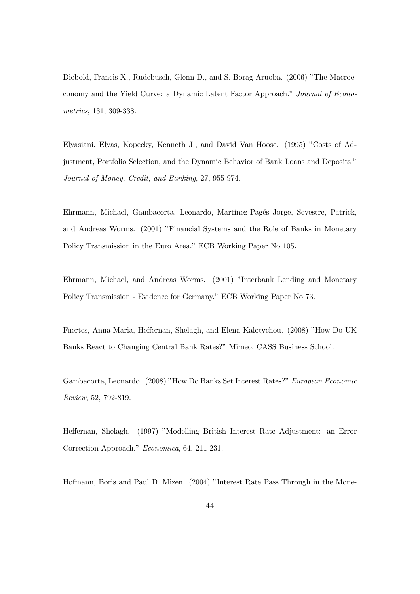Diebold, Francis X., Rudebusch, Glenn D., and S. Borag Aruoba. (2006) "The Macroeconomy and the Yield Curve: a Dynamic Latent Factor Approach." *Journal of Econometrics*, 131, 309-338.

Elyasiani, Elyas, Kopecky, Kenneth J., and David Van Hoose. (1995) "Costs of Adjustment, Portfolio Selection, and the Dynamic Behavior of Bank Loans and Deposits." *Journal of Money, Credit, and Banking*, 27, 955-974.

Ehrmann, Michael, Gambacorta, Leonardo, Martínez-Pagés Jorge, Sevestre, Patrick, and Andreas Worms. (2001) "Financial Systems and the Role of Banks in Monetary Policy Transmission in the Euro Area." ECB Working Paper No 105.

Ehrmann, Michael, and Andreas Worms. (2001) "Interbank Lending and Monetary Policy Transmission - Evidence for Germany." ECB Working Paper No 73.

Fuertes, Anna-Maria, Heffernan, Shelagh, and Elena Kalotychou. (2008) "How Do UK Banks React to Changing Central Bank Rates?" Mimeo, CASS Business School.

Gambacorta, Leonardo. (2008) "How Do Banks Set Interest Rates?" *European Economic Review*, 52, 792-819.

Heffernan, Shelagh. (1997) "Modelling British Interest Rate Adjustment: an Error Correction Approach." *Economica*, 64, 211-231.

Hofmann, Boris and Paul D. Mizen. (2004) "Interest Rate Pass Through in the Mone-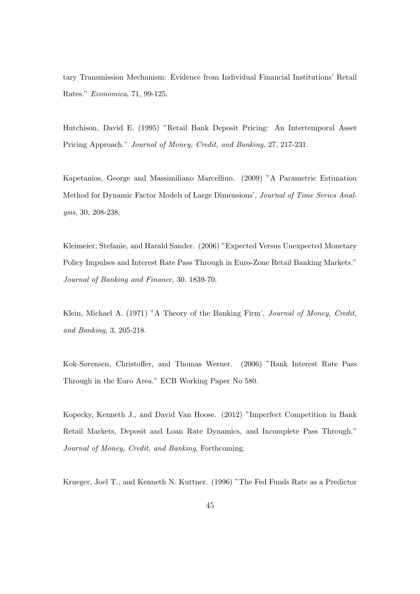tary Transmission Mechanism: Evidence from Individual Financial Institutions' Retail Rates." *Economica*, 71, 99-125.

Hutchison, David E. (1995) "Retail Bank Deposit Pricing: An Intertemporal Asset Pricing Approach." *Journal of Money, Credit, and Banking*, 27, 217-231.

Kapetanios, George and Massimiliano Marcellino. (2009) "A Parametric Estimation Method for Dynamic Factor Models of Large Dimensions', *Journal of Time Series Analysis*, 30, 208-238.

Kleimeier, Stefanie, and Harald Sander. (2006) "Expected Versus Unexpected Monetary Policy Impulses and Interest Rate Pass Through in Euro-Zone Retail Banking Markets." *Journal of Banking and Finance*, 30, 1839-70.

Klein, Michael A. (1971) "A Theory of the Banking Firm', *Journal of Money, Credit, and Banking*, 3, 205-218.

Kok-Sørensen, Christoffer, and Thomas Werner. (2006) "Bank Interest Rate Pass Through in the Euro Area." ECB Working Paper No 580.

Kopecky, Kenneth J., and David Van Hoose. (2012) "Imperfect Competition in Bank Retail Markets, Deposit and Loan Rate Dynamics, and Incomplete Pass Through." *Journal of Money, Credit, and Banking*, Forthcoming.

Krueger, Joel T., and Kenneth N. Kuttner. (1996) "The Fed Funds Rate as a Predictor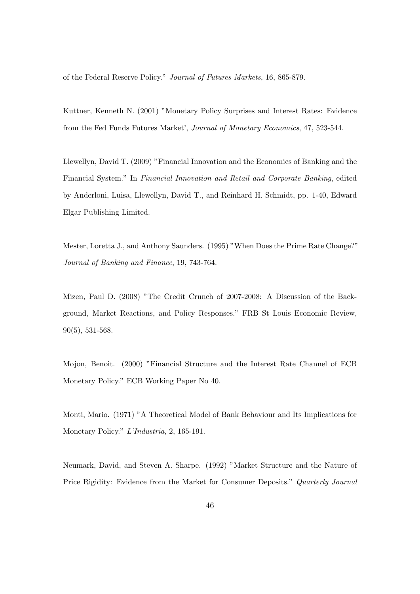of the Federal Reserve Policy." *Journal of Futures Markets*, 16, 865-879.

Kuttner, Kenneth N. (2001) "Monetary Policy Surprises and Interest Rates: Evidence from the Fed Funds Futures Market', *Journal of Monetary Economics*, 47, 523-544.

Llewellyn, David T. (2009) "Financial Innovation and the Economics of Banking and the Financial System." In *Financial Innovation and Retail and Corporate Banking*, edited by Anderloni, Luisa, Llewellyn, David T., and Reinhard H. Schmidt, pp. 1-40, Edward Elgar Publishing Limited.

Mester, Loretta J., and Anthony Saunders. (1995) "When Does the Prime Rate Change?" *Journal of Banking and Finance*, 19, 743-764.

Mizen, Paul D. (2008) "The Credit Crunch of 2007-2008: A Discussion of the Background, Market Reactions, and Policy Responses." FRB St Louis Economic Review, 90(5), 531-568.

Mojon, Benoit. (2000) "Financial Structure and the Interest Rate Channel of ECB Monetary Policy." ECB Working Paper No 40.

Monti, Mario. (1971) "A Theoretical Model of Bank Behaviour and Its Implications for Monetary Policy." *L'Industria*, 2, 165-191.

Neumark, David, and Steven A. Sharpe. (1992) "Market Structure and the Nature of Price Rigidity: Evidence from the Market for Consumer Deposits." *Quarterly Journal*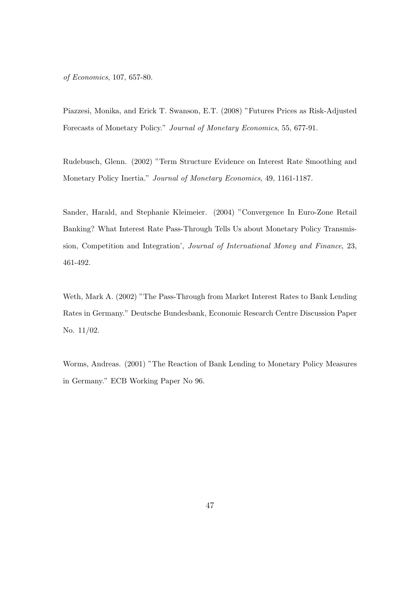*of Economics*, 107, 657-80.

Piazzesi, Monika, and Erick T. Swanson, E.T. (2008) "Futures Prices as Risk-Adjusted Forecasts of Monetary Policy." *Journal of Monetary Economics*, 55, 677-91.

Rudebusch, Glenn. (2002) "Term Structure Evidence on Interest Rate Smoothing and Monetary Policy Inertia." *Journal of Monetary Economics*, 49, 1161-1187.

Sander, Harald, and Stephanie Kleimeier. (2004) "Convergence In Euro-Zone Retail Banking? What Interest Rate Pass-Through Tells Us about Monetary Policy Transmission, Competition and Integration', *Journal of International Money and Finance*, 23, 461-492.

Weth, Mark A. (2002) "The Pass-Through from Market Interest Rates to Bank Lending Rates in Germany." Deutsche Bundesbank, Economic Research Centre Discussion Paper No. 11/02.

Worms, Andreas. (2001) "The Reaction of Bank Lending to Monetary Policy Measures in Germany." ECB Working Paper No 96.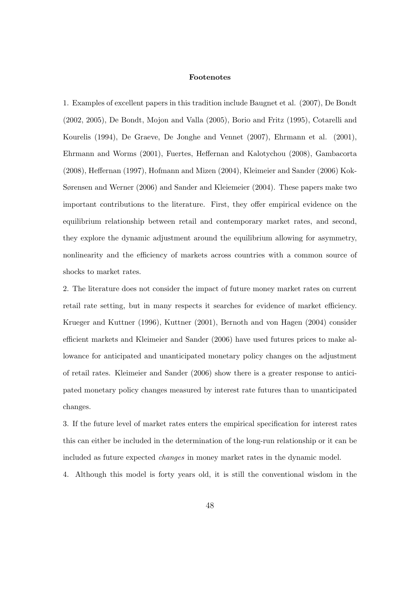### **Footenotes**

1. Examples of excellent papers in this tradition include Baugnet et al. (2007), De Bondt (2002, 2005), De Bondt, Mojon and Valla (2005), Borio and Fritz (1995), Cotarelli and Kourelis (1994), De Graeve, De Jonghe and Vennet (2007), Ehrmann et al. (2001), Ehrmann and Worms (2001), Fuertes, Heffernan and Kalotychou (2008), Gambacorta (2008), Heffernan (1997), Hofmann and Mizen (2004), Kleimeier and Sander (2006) Kok-Sørensen and Werner (2006) and Sander and Kleiemeier (2004). These papers make two important contributions to the literature. First, they offer empirical evidence on the equilibrium relationship between retail and contemporary market rates, and second, they explore the dynamic adjustment around the equilibrium allowing for asymmetry, nonlinearity and the efficiency of markets across countries with a common source of shocks to market rates.

2. The literature does not consider the impact of future money market rates on current retail rate setting, but in many respects it searches for evidence of market efficiency. Krueger and Kuttner (1996), Kuttner (2001), Bernoth and von Hagen (2004) consider efficient markets and Kleimeier and Sander (2006) have used futures prices to make allowance for anticipated and unanticipated monetary policy changes on the adjustment of retail rates. Kleimeier and Sander (2006) show there is a greater response to anticipated monetary policy changes measured by interest rate futures than to unanticipated changes.

3. If the future level of market rates enters the empirical specification for interest rates this can either be included in the determination of the long-run relationship or it can be included as future expected *changes* in money market rates in the dynamic model.

4. Although this model is forty years old, it is still the conventional wisdom in the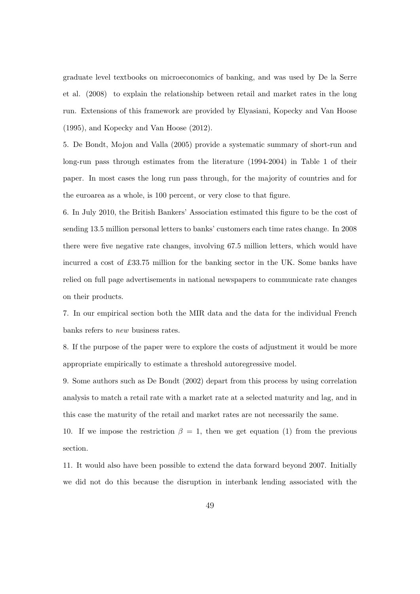graduate level textbooks on microeconomics of banking, and was used by De la Serre et al. (2008) to explain the relationship between retail and market rates in the long run. Extensions of this framework are provided by Elyasiani, Kopecky and Van Hoose (1995), and Kopecky and Van Hoose (2012).

5. De Bondt, Mojon and Valla (2005) provide a systematic summary of short-run and long-run pass through estimates from the literature (1994-2004) in Table 1 of their paper. In most cases the long run pass through, for the majority of countries and for the euroarea as a whole, is 100 percent, or very close to that figure.

6. In July 2010, the British Bankers' Association estimated this figure to be the cost of sending 13.5 million personal letters to banks' customers each time rates change. In 2008 there were five negative rate changes, involving 67.5 million letters, which would have incurred a cost of £33.75 million for the banking sector in the UK. Some banks have relied on full page advertisements in national newspapers to communicate rate changes on their products.

7. In our empirical section both the MIR data and the data for the individual French banks refers to *new* business rates.

8. If the purpose of the paper were to explore the costs of adjustment it would be more appropriate empirically to estimate a threshold autoregressive model.

9. Some authors such as De Bondt (2002) depart from this process by using correlation analysis to match a retail rate with a market rate at a selected maturity and lag, and in this case the maturity of the retail and market rates are not necessarily the same.

10. If we impose the restriction  $\beta = 1$ , then we get equation (1) from the previous section.

11. It would also have been possible to extend the data forward beyond 2007. Initially we did not do this because the disruption in interbank lending associated with the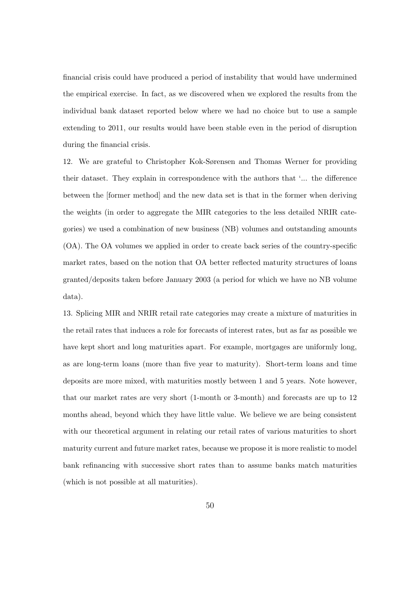financial crisis could have produced a period of instability that would have undermined the empirical exercise. In fact, as we discovered when we explored the results from the individual bank dataset reported below where we had no choice but to use a sample extending to 2011, our results would have been stable even in the period of disruption during the financial crisis.

12. We are grateful to Christopher Kok-Sørensen and Thomas Werner for providing their dataset. They explain in correspondence with the authors that '... the difference between the [former method] and the new data set is that in the former when deriving the weights (in order to aggregate the MIR categories to the less detailed NRIR categories) we used a combination of new business (NB) volumes and outstanding amounts (OA). The OA volumes we applied in order to create back series of the country-specific market rates, based on the notion that OA better reflected maturity structures of loans granted/deposits taken before January 2003 (a period for which we have no NB volume data).

13. Splicing MIR and NRIR retail rate categories may create a mixture of maturities in the retail rates that induces a role for forecasts of interest rates, but as far as possible we have kept short and long maturities apart. For example, mortgages are uniformly long, as are long-term loans (more than five year to maturity). Short-term loans and time deposits are more mixed, with maturities mostly between 1 and 5 years. Note however, that our market rates are very short (1-month or 3-month) and forecasts are up to 12 months ahead, beyond which they have little value. We believe we are being consistent with our theoretical argument in relating our retail rates of various maturities to short maturity current and future market rates, because we propose it is more realistic to model bank refinancing with successive short rates than to assume banks match maturities (which is not possible at all maturities).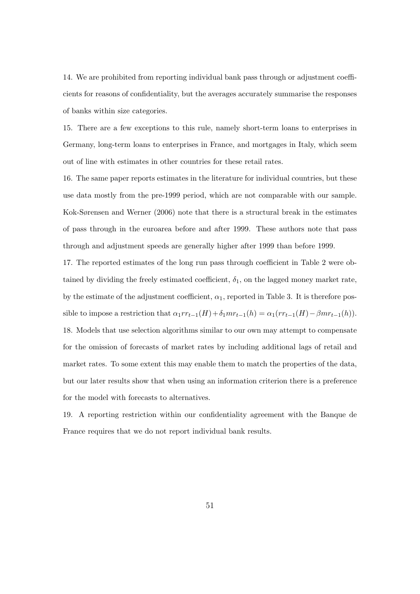14. We are prohibited from reporting individual bank pass through or adjustment coefficients for reasons of confidentiality, but the averages accurately summarise the responses of banks within size categories.

15. There are a few exceptions to this rule, namely short-term loans to enterprises in Germany, long-term loans to enterprises in France, and mortgages in Italy, which seem out of line with estimates in other countries for these retail rates.

16. The same paper reports estimates in the literature for individual countries, but these use data mostly from the pre-1999 period, which are not comparable with our sample. Kok-Sørensen and Werner (2006) note that there is a structural break in the estimates of pass through in the euroarea before and after 1999. These authors note that pass through and adjustment speeds are generally higher after 1999 than before 1999.

17. The reported estimates of the long run pass through coefficient in Table 2 were obtained by dividing the freely estimated coefficient,  $\delta_1$ , on the lagged money market rate, by the estimate of the adjustment coefficient,  $\alpha_1$ , reported in Table 3. It is therefore possible to impose a restriction that  $\alpha_1rr_{t-1}(H) + \delta_1mr_{t-1}(h) = \alpha_1(rr_{t-1}(H) - \beta mr_{t-1}(h)).$ 18. Models that use selection algorithms similar to our own may attempt to compensate for the omission of forecasts of market rates by including additional lags of retail and market rates. To some extent this may enable them to match the properties of the data, but our later results show that when using an information criterion there is a preference for the model with forecasts to alternatives.

19. A reporting restriction within our confidentiality agreement with the Banque de France requires that we do not report individual bank results.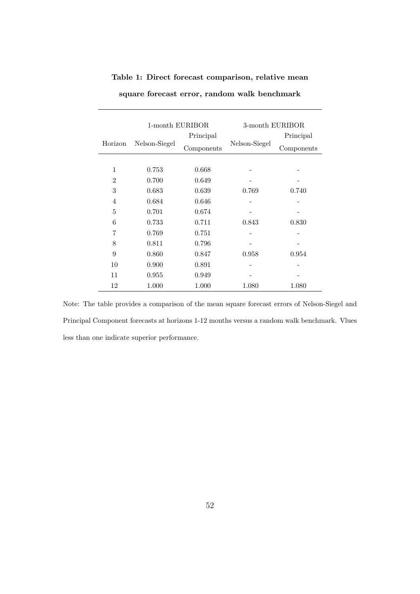|                | 1-month EURIBOR |            | 3-month EURIBOR |            |  |  |
|----------------|-----------------|------------|-----------------|------------|--|--|
|                |                 | Principal  |                 | Principal  |  |  |
| Horizon        | Nelson-Siegel   | Components | Nelson-Siegel   | Components |  |  |
|                |                 |            |                 |            |  |  |
| 1              | 0.753           | 0.668      |                 |            |  |  |
| $\overline{2}$ | 0.700           | 0.649      |                 |            |  |  |
| 3              | 0.683           | 0.639      | 0.769           | 0.740      |  |  |
| $\overline{4}$ | 0.684           | 0.646      |                 |            |  |  |
| 5              | 0.701           | 0.674      |                 |            |  |  |
| 6              | 0.733           | 0.711      | 0.843           | 0.830      |  |  |
| 7              | 0.769           | 0.751      |                 |            |  |  |
| 8              | 0.811           | 0.796      |                 |            |  |  |
| 9              | 0.860           | 0.847      | 0.958           | 0.954      |  |  |
| 10             | 0.900           | 0.891      |                 |            |  |  |
| 11             | 0.955           | 0.949      |                 |            |  |  |
| 12             | 1.000           | 1.000      | 1.080           | 1.080      |  |  |

**Table 1: Direct forecast comparison, relative mean**

**square forecast error, random walk benchmark**

Note: The table provides a comparison of the mean square forecast errors of Nelson-Siegel and Principal Component forecasts at horizons 1-12 months versus a random walk benchmark. Vlues less than one indicate superior performance.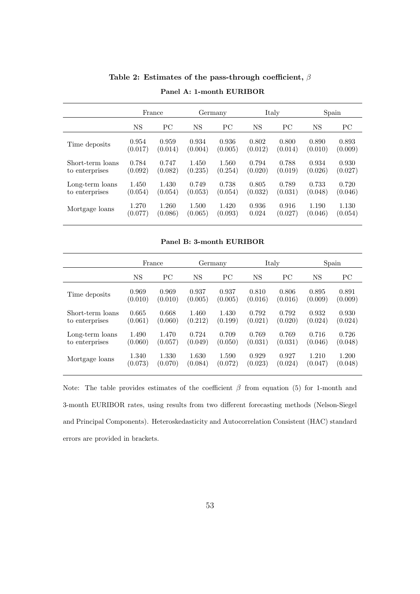|                  |           | France<br>Germany |           |           | Italy     | Spain   |           |         |
|------------------|-----------|-------------------|-----------|-----------|-----------|---------|-----------|---------|
|                  | <b>NS</b> | PC                | <b>NS</b> | <b>PC</b> | <b>NS</b> | PC      | <b>NS</b> | PC      |
| Time deposits    | 0.954     | 0.959             | 0.934     | 0.936     | 0.802     | 0.800   | 0.890     | 0.893   |
|                  | (0.017)   | (0.014)           | (0.004)   | (0.005)   | (0.012)   | (0.014) | (0.010)   | (0.009) |
| Short-term loans | 0.784     | 0.747             | 1.450     | 1.560     | 0.794     | 0.788   | 0.934     | 0.930   |
| to enterprises   | (0.092)   | (0.082)           | (0.235)   | (0.254)   | (0.020)   | (0.019) | (0.026)   | (0.027) |
| Long-term loans  | 1.450     | 1.430             | 0.749     | 0.738     | 0.805     | 0.789   | 0.733     | 0.720   |
| to enterprises   | (0.054)   | (0.054)           | (0.053)   | (0.054)   | (0.032)   | (0.031) | (0.048)   | (0.046) |
| Mortgage loans   | 1.270     | 1.260             | 1.500     | 1.420     | 0.936     | 0.916   | 1.190     | 1.130   |
|                  | (0.077)   | (0.086)           | (0.065)   | (0.093)   | 0.024     | (0.027) | (0.046)   | (0.054) |

**Table 2: Estimates of the pass-through coefficient,** *β* **Panel A: 1-month EURIBOR**

**Panel B: 3-month EURIBOR**

|                  | France    |         |         | Germany | Italy   |         | Spain   |         |
|------------------|-----------|---------|---------|---------|---------|---------|---------|---------|
|                  | <b>NS</b> | PC      | NS      | PС      | NS      | PС      | NS      | PC      |
| Time deposits    | 0.969     | 0.969   | 0.937   | 0.937   | 0.810   | 0.806   | 0.895   | 0.891   |
|                  | (0.010)   | (0.010) | (0.005) | (0.005) | (0.016) | (0.016) | (0.009) | (0.009) |
| Short-term loans | 0.665     | 0.668   | 1.460   | 1.430   | 0.792   | 0.792   | 0.932   | 0.930   |
| to enterprises   | (0.061)   | (0.060) | (0.212) | (0.199) | (0.021) | (0.020) | (0.024) | (0.024) |
| Long-term loans  | 1.490     | 1.470   | 0.724   | 0.709   | 0.769   | 0.769   | 0.716   | 0.726   |
| to enterprises   | (0.060)   | (0.057) | (0.049) | (0.050) | (0.031) | (0.031) | (0.046) | (0.048) |
| Mortgage loans   | 1.340     | 1.330   | 1.630   | 1.590   | 0.929   | 0.927   | 1.210   | 1.200   |
|                  | (0.073)   | (0.070) | (0.084) | (0.072) | (0.023) | (0.024) | (0.047) | (0.048) |

Note: The table provides estimates of the coefficient  $β$  from equation (5) for 1-month and 3-month EURIBOR rates, using results from two different forecasting methods (Nelson-Siegel and Principal Components). Heteroskedasticity and Autocorrelation Consistent (HAC) standard errors are provided in brackets.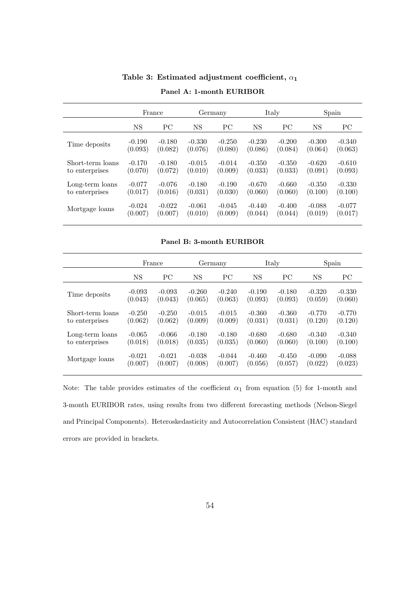|                  |          | France    | Germany   |           | Italy    |           | Spain       |          |
|------------------|----------|-----------|-----------|-----------|----------|-----------|-------------|----------|
|                  | NS       | <b>PC</b> | <b>NS</b> | <b>PC</b> | NS       | <b>PC</b> | $_{\rm NS}$ | PC       |
| Time deposits    | $-0.190$ | $-0.180$  | $-0.330$  | $-0.250$  | $-0.230$ | $-0.200$  | $-0.300$    | $-0.340$ |
|                  | (0.093)  | (0.082)   | (0.076)   | (0.080)   | (0.086)  | (0.084)   | (0.064)     | (0.063)  |
| Short-term loans | $-0.170$ | $-0.180$  | $-0.015$  | $-0.014$  | $-0.350$ | $-0.350$  | $-0.620$    | $-0.610$ |
| to enterprises   | (0.070)  | (0.072)   | (0.010)   | (0.009)   | (0.033)  | (0.033)   | (0.091)     | (0.093)  |
| Long-term loans  | $-0.077$ | $-0.076$  | $-0.180$  | $-0.190$  | $-0.670$ | $-0.660$  | $-0.350$    | $-0.330$ |
| to enterprises   | (0.017)  | (0.016)   | (0.031)   | (0.030)   | (0.060)  | (0.060)   | (0.100)     | (0.100)  |
| Mortgage loans   | $-0.024$ | $-0.022$  | $-0.061$  | $-0.045$  | $-0.440$ | $-0.400$  | $-0.088$    | $-0.077$ |
|                  | (0.007)  | (0.007)   | (0.010)   | (0.009)   | (0.044)  | (0.044)   | (0.019)     | (0.017)  |

**Table 3: Estimated adjustment coefficient,** *α***<sup>1</sup> Panel A: 1-month EURIBOR**

**Panel B: 3-month EURIBOR**

|                  | France   |           |          | Germany  | Italy    |          | Spain     |          |
|------------------|----------|-----------|----------|----------|----------|----------|-----------|----------|
|                  | NS       | <b>PC</b> | NS       | PС       | NS       | PC.      | <b>NS</b> | PC       |
| Time deposits    | $-0.093$ | $-0.093$  | $-0.260$ | $-0.240$ | $-0.190$ | $-0.180$ | $-0.320$  | $-0.330$ |
|                  | (0.043)  | (0.043)   | (0.065)  | (0.063)  | (0.093)  | (0.093)  | (0.059)   | (0.060)  |
| Short-term loans | $-0.250$ | $-0.250$  | $-0.015$ | $-0.015$ | $-0.360$ | $-0.360$ | $-0.770$  | $-0.770$ |
| to enterprises   | (0.062)  | (0.062)   | (0.009)  | (0.009)  | (0.031)  | (0.031)  | (0.120)   | (0.120)  |
| Long-term loans  | $-0.065$ | $-0.066$  | $-0.180$ | $-0.180$ | $-0.680$ | $-0.680$ | $-0.340$  | $-0.340$ |
| to enterprises   | (0.018)  | (0.018)   | (0.035)  | (0.035)  | (0.060)  | (0.060)  | (0.100)   | (0.100)  |
| Mortgage loans   | $-0.021$ | $-0.021$  | $-0.038$ | $-0.044$ | $-0.460$ | $-0.450$ | $-0.090$  | $-0.088$ |
|                  | (0.007)  | (0.007)   | (0.008)  | (0.007)  | (0.056)  | (0.057)  | (0.022)   | (0.023)  |

Note: The table provides estimates of the coefficient  $\alpha_1$  from equation (5) for 1-month and 3-month EURIBOR rates, using results from two different forecasting methods (Nelson-Siegel and Principal Components). Heteroskedasticity and Autocorrelation Consistent (HAC) standard errors are provided in brackets.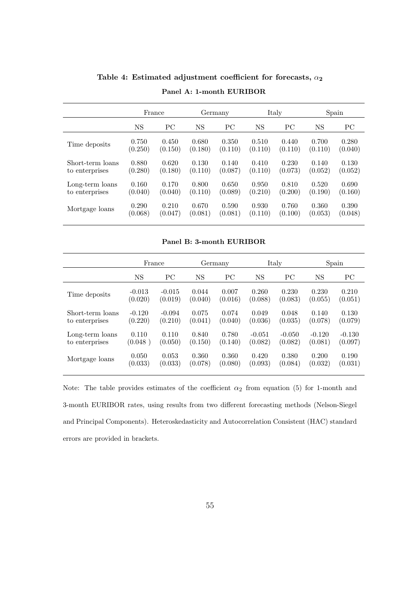|                  | France  |         |         | Germany |         | Italy     | Spain   |         |
|------------------|---------|---------|---------|---------|---------|-----------|---------|---------|
|                  | NS      | PC.     | NS      | PC      | NS      | <b>PC</b> | NS      | PС      |
| Time deposits    | 0.750   | 0.450   | 0.680   | 0.350   | 0.510   | 0.440     | 0.700   | 0.280   |
|                  | (0.250) | (0.150) | (0.180) | (0.110) | (0.110) | (0.110)   | (0.110) | (0.040) |
| Short-term loans | 0.880   | 0.620   | 0.130   | 0.140   | 0.410   | 0.230     | 0.140   | 0.130   |
| to enterprises   | (0.280) | (0.180) | (0.110) | (0.087) | (0.110) | (0.073)   | (0.052) | (0.052) |
| Long-term loans  | 0.160   | 0.170   | 0.800   | 0.650   | 0.950   | 0.810     | 0.520   | 0.690   |
| to enterprises   | (0.040) | (0.040) | (0.110) | (0.089) | (0.210) | (0.200)   | (0.190) | (0.160) |
| Mortgage loans   | 0.290   | 0.210   | 0.670   | 0.590   | 0.930   | 0.760     | 0.360   | 0.390   |
|                  | (0.068) | (0.047) | (0.081) | (0.081) | (0.110) | (0.100)   | (0.053) | (0.048) |

**Table 4: Estimated adjustment coefficient for forecasts,** *α***<sup>2</sup> Panel A: 1-month EURIBOR**

**Panel B: 3-month EURIBOR**

|                  | Germany<br>France |          |           | Italy   |           | Spain    |           |          |
|------------------|-------------------|----------|-----------|---------|-----------|----------|-----------|----------|
|                  | <b>NS</b>         | PC       | <b>NS</b> | PC      | <b>NS</b> | PC       | <b>NS</b> | PС       |
| Time deposits    | $-0.013$          | $-0.015$ | 0.044     | 0.007   | 0.260     | 0.230    | 0.230     | 0.210    |
|                  | (0.020)           | (0.019)  | (0.040)   | (0.016) | (0.088)   | (0.083)  | (0.055)   | (0.051)  |
| Short-term loans | $-0.120$          | $-0.094$ | 0.075     | 0.074   | 0.049     | 0.048    | 0.140     | 0.130    |
| to enterprises   | (0.220)           | (0.210)  | (0.041)   | (0.040) | (0.036)   | (0.035)  | (0.078)   | (0.079)  |
| Long-term loans  | 0.110             | 0.110    | 0.840     | 0.780   | $-0.051$  | $-0.050$ | $-0.120$  | $-0.130$ |
| to enterprises   | (0.048)           | (0.050)  | (0.150)   | (0.140) | (0.082)   | (0.082)  | (0.081)   | (0.097)  |
| Mortgage loans   | 0.050             | 0.053    | 0.360     | 0.360   | 0.420     | 0.380    | 0.200     | 0.190    |
|                  | (0.033)           | (0.033)  | (0.078)   | (0.080) | (0.093)   | (0.084)  | (0.032)   | (0.031)  |

Note: The table provides estimates of the coefficient  $\alpha_2$  from equation (5) for 1-month and 3-month EURIBOR rates, using results from two different forecasting methods (Nelson-Siegel and Principal Components). Heteroskedasticity and Autocorrelation Consistent (HAC) standard errors are provided in brackets.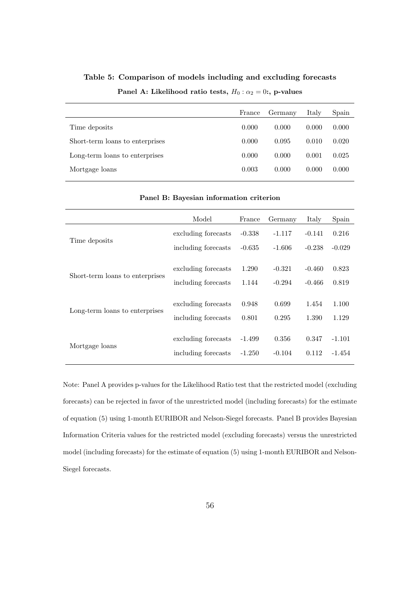|                                 | France | Germany | Italy | Spain |
|---------------------------------|--------|---------|-------|-------|
| Time deposits                   | 0.000  | 0.000   | 0.000 | 0.000 |
| Short-term loans to enterprises | 0.000  | 0.095   | 0.010 | 0.020 |
| Long-term loans to enterprises  | 0.000  | 0.000   | 0.001 | 0.025 |
| Mortgage loans                  | 0.003  | 0.000   | 0.000 | 0.000 |

**Table 5: Comparison of models including and excluding forecasts Panel A:** Likelihood ratio tests,  $H_0: \alpha_2 = 0$ :, p-values

| Panel B: Bayesian information criterion |                                            |                      |                      |                      |                    |  |
|-----------------------------------------|--------------------------------------------|----------------------|----------------------|----------------------|--------------------|--|
|                                         | Model                                      | France               | Germany              | Italy                | Spain              |  |
|                                         | excluding forecasts                        | $-0.338$             | $-1.117$             | $-0.141$             | 0.216              |  |
| Time deposits                           | including forecasts                        | $-0.635$             | $-1.606$             | $-0.238$             | $-0.029$           |  |
| Short-term loans to enterprises         | excluding forecasts<br>including forecasts | 1.290<br>1.144       | $-0.321$<br>$-0.294$ | $-0.460$<br>$-0.466$ | 0.823<br>0.819     |  |
| Long-term loans to enterprises          | excluding forecasts<br>including forecasts | 0.948<br>0.801       | 0.699<br>0.295       | 1.454<br>1.390       | 1.100<br>1.129     |  |
| Mortgage loans                          | excluding forecasts<br>including forecasts | $-1.499$<br>$-1.250$ | 0.356<br>$-0.104$    | 0.347<br>0.112       | $-1.101$<br>-1.454 |  |

Note: Panel A provides p-values for the Likelihood Ratio test that the restricted model (excluding forecasts) can be rejected in favor of the unrestricted model (including forecasts) for the estimate of equation (5) using 1-month EURIBOR and Nelson-Siegel forecasts. Panel B provides Bayesian Information Criteria values for the restricted model (excluding forecasts) versus the unrestricted model (including forecasts) for the estimate of equation (5) using 1-month EURIBOR and Nelson-Siegel forecasts.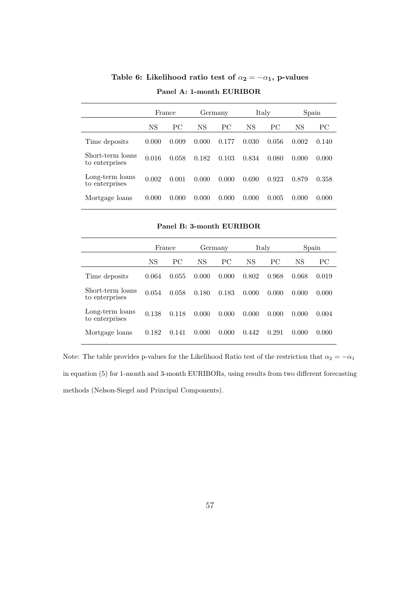|                                    | France |       | Germany |       |       | Italy | Spain |       |
|------------------------------------|--------|-------|---------|-------|-------|-------|-------|-------|
|                                    | NS     | РC    | NS      | PC.   | NS    | РC    | NS    | PС    |
| Time deposits                      | 0.000  | 0.009 | 0.000   | 0.177 | 0.030 | 0.056 | 0.002 | 0.140 |
| Short-term loans<br>to enterprises | 0.016  | 0.058 | 0.182   | 0.103 | 0.834 | 0.080 | 0.000 | 0.000 |
| Long-term loans<br>to enterprises  | 0.002  | 0.001 | 0.000   | 0.000 | 0.690 | 0.923 | 0.879 | 0.358 |
| Mortgage loans                     | 0.000  | 0.000 | 0.000   | 0.000 | 0.000 | 0.005 | 0.000 | 0.000 |

**Table 6:** Likelihood ratio test of  $\alpha_2 = -\alpha_1$ , p-values **Panel A: 1-month EURIBOR**

**Panel B: 3-month EURIBOR**

|                                    |       | France |       | Germany |       | Italy |       | Spain |
|------------------------------------|-------|--------|-------|---------|-------|-------|-------|-------|
|                                    | NS    | РC     | NS    | РC      | NS    | PC.   | NS    | PС    |
| Time deposits                      | 0.064 | 0.055  | 0.000 | 0.000   | 0.802 | 0.968 | 0.068 | 0.019 |
| Short-term loans<br>to enterprises | 0.054 | 0.058  | 0.180 | 0.183   | 0.000 | 0.000 | 0.000 | 0.000 |
| Long-term loans<br>to enterprises  | 0.138 | 0.118  | 0.000 | 0.000   | 0.000 | 0.000 | 0.000 | 0.004 |
| Mortgage loans                     | 0.182 | 0.141  | 0.000 | 0.000   | 0.442 | 0.291 | 0.000 | 0.000 |

Note: The table provides p-values for the Likelihood Ratio test of the restriction that  $\alpha_2 = -\alpha_1$ in equation (5) for 1-month and 3-month EURIBORs, using results from two different forecasting methods (Nelson-Siegel and Principal Components).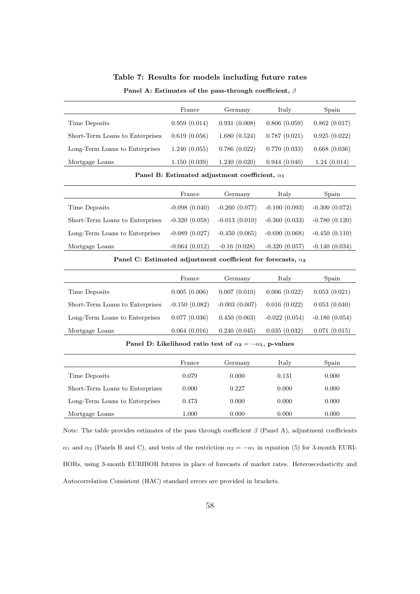| Table 7: Results for models including future rates |  |  |
|----------------------------------------------------|--|--|
|----------------------------------------------------|--|--|

#### **Panel A: Estimates of the pass-through coefficient,** *β*

|                                 | France       | Germany      | Italy        | Spain        |
|---------------------------------|--------------|--------------|--------------|--------------|
| Time Deposits                   | 0.959(0.014) | 0.931(0.008) | 0.806(0.059) | 0.862(0.017) |
| Short-Term Loans to Enterprises | 0.619(0.056) | 1.680(0.524) | 0.787(0.021) | 0.925(0.022) |
| Long-Term Loans to Enterprises  | 1.240(0.055) | 0.786(0.022) | 0.770(0.033) | 0.668(0.036) |
| Mortgage Loans                  | 1.150(0.039) | 1.240(0.020) | 0.944(0.040) | 1.24(0.014)  |

**Panel B: Estimated adjustment coefficient,** *α***<sup>1</sup>**

|                                 | France          | Germany         | Italy           | Spain           |
|---------------------------------|-----------------|-----------------|-----------------|-----------------|
| Time Deposits                   | $-0.098(0.040)$ | $-0.260(0.077)$ | $-0.100(0.093)$ | $-0.300(0.072)$ |
| Short-Term Loans to Enterprises | $-0.320(0.058)$ | $-0.013(0.010)$ | $-0.360(0.033)$ | $-0.780(0.120)$ |
| Long-Term Loans to Enterprises  | $-0.089(0.027)$ | $-0.450(0.065)$ | $-0.690(0.068)$ | $-0.450(0.110)$ |
| Mortgage Loans                  | $-0.064(0.012)$ | $-0.16(0.028)$  | $-0.320(0.057)$ | $-0.140(0.034)$ |

**Panel C: Estimated adjustment coefficient for forecasts,** *α***<sup>2</sup>**

|                                 | France          | Germany         | Italy           | Spain           |
|---------------------------------|-----------------|-----------------|-----------------|-----------------|
| Time Deposits                   | 0.005(0.006)    | 0.007(0.010)    | 0.006(0.022)    | 0.053(0.021)    |
| Short-Term Loans to Enterprises | $-0.150(0.082)$ | $-0.003(0.007)$ | 0.016(0.022)    | 0.053(0.040)    |
| Long-Term Loans to Enterprises  | 0.077(0.036)    | 0.450(0.063)    | $-0.022(0.054)$ | $-0.180(0.054)$ |
| Mortgage Loans                  | 0.064(0.016)    | 0.240(0.045)    | 0.035(0.032)    | 0.071(0.015)    |

#### **Panel D:** Likelihood ratio test of  $\alpha_2 = -\alpha_1$ , p-values

|                                 | France    | Germany | Italy | Spain |
|---------------------------------|-----------|---------|-------|-------|
| Time Deposits                   | 0.079     | 0.000   | 0.131 | 0.000 |
| Short-Term Loans to Enterprizes | 0.000     | 0.227   | 0.000 | 0.000 |
| Long-Term Loans to Enterprises  | 0.473     | 0.000   | 0.000 | 0.000 |
| Mortgage Loans                  | $1.000\,$ | 0.000   | 0.000 | 0.000 |

Note: The table provides estimates of the pass through coefficient *β* (Panel A), adjustment coefficients *α*<sub>1</sub> and *α*<sub>2</sub> (Panels B and C), and tests of the restriction  $α_2 = -α_1$  in equation (5) for 3-month EURI-BORs, using 3-month EURIBOR futures in place of forecasts of market rates. Heteroscedasticity and Autocorrelation Consistent (HAC) standard errors are provided in brackets.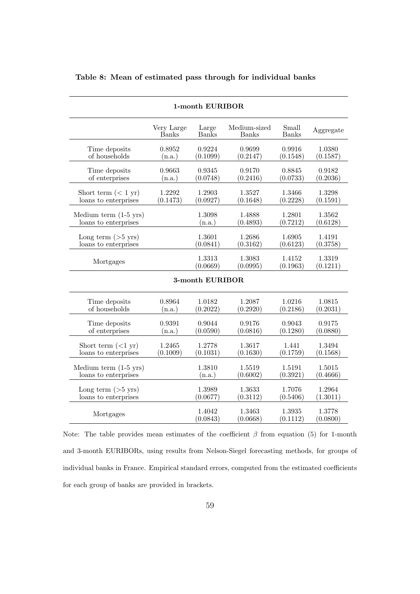| 1-month EURIBOR                 |                     |                       |                              |                       |                    |  |  |  |  |
|---------------------------------|---------------------|-----------------------|------------------------------|-----------------------|--------------------|--|--|--|--|
|                                 | Very Large<br>Banks | Large<br><b>Banks</b> | Medium-sized<br><b>Banks</b> | Small<br><b>Banks</b> | Aggregate          |  |  |  |  |
| Time deposits                   | 0.8952              | 0.9224                | 0.9699                       | 0.9916                | 1.0380             |  |  |  |  |
| of households                   | (n.a.)              | (0.1099)              | (0.2147)                     | (0.1548)              | (0.1587)           |  |  |  |  |
| Time deposits                   | 0.9663              | 0.9345                | 0.9170                       | 0.8845                | 0.9182             |  |  |  |  |
| of enterprises                  | (n.a.)              | (0.0748)              | (0.2416)                     | (0.0733)              | (0.2036)           |  |  |  |  |
| Short term $(< 1 \text{ yr})$   | 1.2292              | 1.2903                | 1.3527                       | 1.3466                | 1.3298             |  |  |  |  |
| loans to enterprises            | (0.1473)            | (0.0927)              | (0.1648)                     | (0.2228)              | (0.1591)           |  |  |  |  |
| Medium term $(1-5 \text{ yrs})$ |                     | 1.3098                | 1.4888                       | 1.2801                | 1.3562             |  |  |  |  |
| loans to enterprises            |                     | (n.a.)                | (0.4893)                     | (0.7212)              | (0.6128)           |  |  |  |  |
| Long term $($ >5 yrs)           |                     | 1.3601                | 1.2686                       | 1.6905                | 1.4191             |  |  |  |  |
| loans to enterprises            |                     | (0.0841)              | (0.3162)                     | (0.6123)              | (0.3758)           |  |  |  |  |
| Mortgages                       |                     | 1.3313<br>(0.0669)    | 1.3083<br>(0.0995)           | 1.4152<br>(0.1963)    | 1.3319<br>(0.1211) |  |  |  |  |
|                                 |                     | 3-month EURIBOR       |                              |                       |                    |  |  |  |  |
| Time deposits                   | 0.8964              | 1.0182                | 1.2087                       | 1.0216                | 1.0815             |  |  |  |  |
| of households                   | (n.a.)              | (0.2022)              | (0.2920)                     | (0.2186)              | (0.2031)           |  |  |  |  |
| Time deposits                   | 0.9391              | 0.9044                | 0.9176                       | 0.9043                | 0.9175             |  |  |  |  |
| of enterprises                  | (n.a.)              | (0.0590)              | (0.0816)                     | (0.1280)              | (0.0880)           |  |  |  |  |
| Short term $(<1 \text{ yr})$    | 1.2465              | 1.2778                | 1.3617                       | 1.441                 | 1.3494             |  |  |  |  |
| loans to enterprises            | (0.1009)            | (0.1031)              | (0.1630)                     | (0.1759)              | (0.1568)           |  |  |  |  |
| Medium term $(1-5 \text{ yrs})$ |                     | 1.3810                | 1.5519                       | 1.5191                | 1.5015             |  |  |  |  |
| loans to enterprises            |                     | (n.a.)                | (0.6002)                     | (0.3921)              | (0.4666)           |  |  |  |  |
| Long term $(>5 \text{ yrs})$    |                     | 1.3989                | 1.3633                       | 1.7076                | 1.2964             |  |  |  |  |
| loans to enterprises            |                     | (0.0677)              | (0.3112)                     | (0.5406)              | (1.3011)           |  |  |  |  |
| Mortgages                       |                     | 1.4042<br>(0.0843)    | 1.3463<br>(0.0668)           | 1.3935<br>(0.1112)    | 1.3778<br>(0.0800) |  |  |  |  |

**Table 8: Mean of estimated pass through for individual banks**

Note: The table provides mean estimates of the coefficient *β* from equation (5) for 1-month and 3-month EURIBORs, using results from Nelson-Siegel forecasting methods, for groups of individual banks in France. Empirical standard errors, computed from the estimated coefficients for each group of banks are provided in brackets.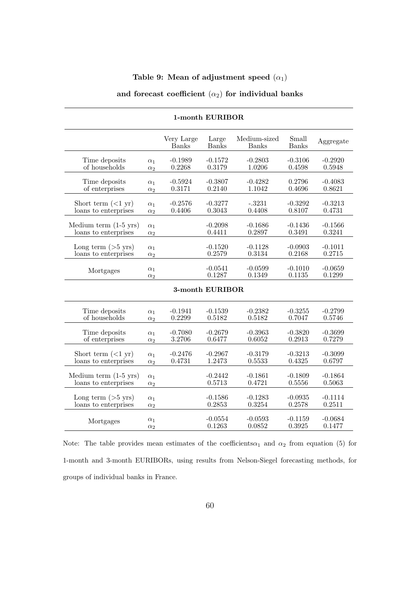## Table 9: Mean of adjustment speed  $(\alpha_1)$

## and forecast coefficient  $(\alpha_2)$  for individual banks

|                                 |                          | Very Large<br><b>Banks</b> | Large<br><b>Banks</b> | Medium-sized<br>Banks | Small<br><b>Banks</b> | Aggregate           |
|---------------------------------|--------------------------|----------------------------|-----------------------|-----------------------|-----------------------|---------------------|
| Time deposits                   | $\alpha_1$               | $-0.1989$                  | $-0.1572$             | $-0.2803$             | $-0.3106$             | $-0.2920$           |
| of households                   | $\alpha_2$               | 0.2268                     | 0.3179                | 1.0206                | 0.4598                | 0.5948              |
| Time deposits                   | $\alpha_1$               | $-0.5924$                  | $-0.3807$             | $-0.4282$             | 0.2796                | $-0.4083$           |
| of enterprises                  | $\alpha_2$               | 0.3171                     | 0.2140                | 1.1042                | 0.4696                | 0.8621              |
| Short term $(<1$ yr)            | $\alpha_1$               | $-0.2576$                  | $-0.3277$             | $-.3231$              | $-0.3292$             | $-0.3213$           |
| loans to enterprises            | $\alpha_2$               | 0.4406                     | 0.3043                | 0.4408                | 0.8107                | 0.4731              |
| Medium term $(1-5 \text{ yrs})$ | $\alpha_1$               |                            | $-0.2098$             | $-0.1686$             | $-0.1436$             | $-0.1566$           |
| loans to enterprises            | $\alpha_2$               |                            | 0.4411                | 0.2897                | 0.3491                | 0.3241              |
| Long term $(>5 \text{ yrs})$    | $\alpha_1$               |                            | $-0.1520$             | $-0.1128$             | $-0.0903$             | $-0.1011$           |
| loans to enterprises            | $\alpha_2$               |                            | 0.2579                | 0.3134                | 0.2168                | 0.2715              |
| Mortgages                       | $\alpha_1$<br>$\alpha_2$ |                            | $-0.0541$<br>0.1287   | $-0.0599$<br>0.1349   | $-0.1010$<br>0.1135   | $-0.0659$<br>0.1299 |
|                                 |                          |                            | 3-month EURIBOR       |                       |                       |                     |
| Time deposits                   | $\alpha_1$               | $-0.1941$                  | $-0.1539$             | $-0.2382$             | $-0.3255$             | $-0.2799$           |
| of households                   | $\alpha_2$               | 0.2299                     | 0.5182                | 0.5182                | 0.7047                | 0.5746              |
| Time deposits                   | $\alpha_1$               | $-0.7080$                  | $-0.2679$             | $-0.3963$             | $-0.3820$             | $-0.3699$           |
| of enterprises                  | $\alpha_2$               | 3.2706                     | 0.6477                | 0.6052                | 0.2913                | 0.7279              |
| Short term $(<1 \text{ yr})$    | $\alpha_1$               | $-0.2476$                  | $-0.2967$             | $-0.3179$             | $-0.3213$             | $-0.3099$           |
| loans to enterprises            | $\alpha_2$               | 0.4731                     | 1.2473                | 0.5533                | 0.4325                | 0.6797              |
| Medium term $(1-5 \text{ yrs})$ | $\alpha_1$               |                            | $-0.2442$             | $-0.1861$             | $-0.1809$             | $-0.1864$           |
| loans to enterprises            | $\alpha_2$               |                            | 0.5713                | 0.4721                | 0.5556                | 0.5063              |
| Long term $(>5 \text{ yrs})$    | $\alpha_1$               |                            | $-0.1586$             | $-0.1283$             | $-0.0935$             | $-0.1114$           |
| loans to enterprises            | $\alpha_2$               |                            | 0.2853                | 0.3254                | 0.2578                | 0.2511              |
| Mortgages                       | $\alpha_1$<br>$\alpha_2$ |                            | $-0.0554$<br>0.1263   | $-0.0593$<br>0.0852   | $-0.1159$<br>0.3925   | $-0.0684$<br>0.1477 |

#### **1-month EURIBOR**

Note: The table provides mean estimates of the coefficients $\alpha_1$  and  $\alpha_2$  from equation (5) for 1-month and 3-month EURIBORs, using results from Nelson-Siegel forecasting methods, for groups of individual banks in France.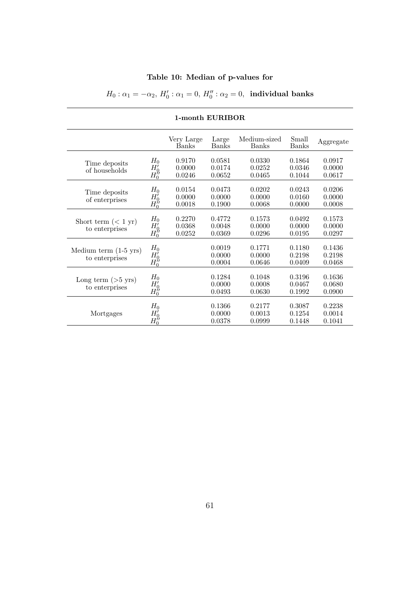## **Table 10: Median of p-values for**

 $H_0: \alpha_1 = -\alpha_2, H'_0: \alpha_1 = 0, H''_0: \alpha_2 = 0$ , **individual banks** 

| 1-month EURIBOR                                   |                                                       |                            |                            |                            |                            |                            |  |
|---------------------------------------------------|-------------------------------------------------------|----------------------------|----------------------------|----------------------------|----------------------------|----------------------------|--|
|                                                   |                                                       | Very Large<br>Banks        | Large<br>Banks             | Medium-sized<br>Banks      | Small<br><b>Banks</b>      | Aggregate                  |  |
| Time deposits<br>of households                    | $H_0$<br>$H_0'$<br>$H_0^{\check{\prime}\prime}$       | 0.9170<br>0.0000<br>0.0246 | 0.0581<br>0.0174<br>0.0652 | 0.0330<br>0.0252<br>0.0465 | 0.1864<br>0.0346<br>0.1044 | 0.0917<br>0.0000<br>0.0617 |  |
| Time deposits<br>of enterprises                   | $H_0$<br>$H_0^{\prime}$<br>$H_0^{\check\prime\prime}$ | 0.0154<br>0.0000<br>0.0018 | 0.0473<br>0.0000<br>0.1900 | 0.0202<br>0.0000<br>0.0068 | 0.0243<br>0.0160<br>0.0000 | 0.0206<br>0.0000<br>0.0008 |  |
| Short term $(< 1 \text{ yr})$<br>to enterprises   | $H_0$<br>$H_0'$<br>$H_0^{\gamma}$                     | 0.2270<br>0.0368<br>0.0252 | 0.4772<br>0.0048<br>0.0369 | 0.1573<br>0.0000<br>0.0296 | 0.0492<br>0.0000<br>0.0195 | 0.1573<br>0.0000<br>0.0297 |  |
| Medium term $(1-5 \text{ yrs})$<br>to enterprises | $H_0$<br>$\overset{H_0'}{H_0''}$                      |                            | 0.0019<br>0.0000<br>0.0004 | 0.1771<br>0.0000<br>0.0646 | 0.1180<br>0.2198<br>0.0409 | 0.1436<br>0.2198<br>0.0468 |  |
| Long term $(>5 \text{ yrs})$<br>to enterprises    | $H_0$<br>$H_0'$<br>$H_0^{\gamma}$                     |                            | 0.1284<br>0.0000<br>0.0493 | 0.1048<br>0.0008<br>0.0630 | 0.3196<br>0.0467<br>0.1992 | 0.1636<br>0.0680<br>0.0900 |  |
| Mortgages                                         | $H_0$<br>$H_0^{\tilde{\prime}}\ H_0^{\prime\prime}$   |                            | 0.1366<br>0.0000<br>0.0378 | 0.2177<br>0.0013<br>0.0999 | 0.3087<br>0.1254<br>0.1448 | 0.2238<br>0.0014<br>0.1041 |  |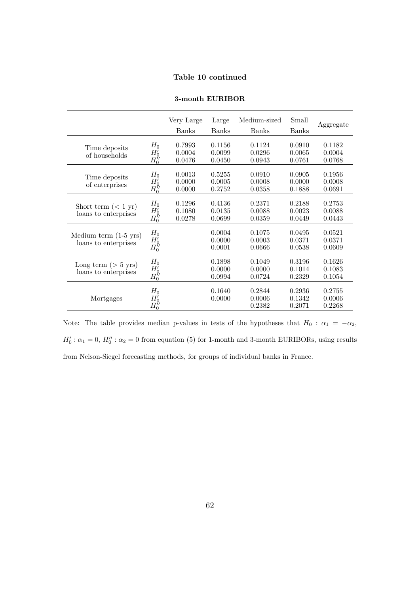|  |  | Table 10 continued |  |
|--|--|--------------------|--|
|--|--|--------------------|--|

| 3-month EURIBOR                                         |                                               |                            |                            |                              |                            |                            |  |
|---------------------------------------------------------|-----------------------------------------------|----------------------------|----------------------------|------------------------------|----------------------------|----------------------------|--|
|                                                         |                                               | Very Large<br><b>Banks</b> | Large<br><b>Banks</b>      | Medium-sized<br><b>Banks</b> | Small<br><b>Banks</b>      | Aggregate                  |  |
| Time deposits<br>of households                          | $H_0$<br>$H_0^j$                              | 0.7993<br>0.0004<br>0.0476 | 0.1156<br>0.0099<br>0.0450 | 0.1124<br>0.0296<br>0.0943   | 0.0910<br>0.0065<br>0.0761 | 0.1182<br>0.0004<br>0.0768 |  |
| Time deposits<br>of enterprises                         | $H_0$<br>$H_0'$<br>$H_0^{\gamma}$             | 0.0013<br>0.0000<br>0.0000 | 0.5255<br>0.0005<br>0.2752 | 0.0910<br>0.0008<br>0.0358   | 0.0905<br>0.0000<br>0.1888 | 0.1956<br>0.0008<br>0.0691 |  |
| Short term $(< 1 \text{ yr})$<br>loans to enterprises   | $H_0$<br>$H_0'$<br>$H_0^{\check\prime\prime}$ | 0.1296<br>0.1080<br>0.0278 | 0.4136<br>0.0135<br>0.0699 | 0.2371<br>0.0088<br>0.0359   | 0.2188<br>0.0023<br>0.0449 | 0.2753<br>0.0088<br>0.0443 |  |
| Medium term $(1-5 \text{ yrs})$<br>loans to enterprises | $H_0$<br>$H_0'$<br>$H_0^{\check\prime\prime}$ |                            | 0.0004<br>0.0000<br>0.0001 | 0.1075<br>0.0003<br>0.0666   | 0.0495<br>0.0371<br>0.0538 | 0.0521<br>0.0371<br>0.0609 |  |
| Long term $($ > 5 yrs)<br>loans to enterprises          | $H_0$<br>$H_0'$<br>$H_0^{\vphantom{\prime}}$  |                            | 0.1898<br>0.0000<br>0.0994 | 0.1049<br>0.0000<br>0.0724   | 0.3196<br>0.1014<br>0.2329 | 0.1626<br>0.1083<br>0.1054 |  |
| Mortgages                                               | $H_0$<br>$H_0'$<br>$H_0^{\check\prime\prime}$ |                            | 0.1640<br>0.0000           | 0.2844<br>0.0006<br>0.2382   | 0.2936<br>0.1342<br>0.2071 | 0.2755<br>0.0006<br>0.2268 |  |

Note: The table provides median p-values in tests of the hypotheses that  $H_0$ :  $\alpha_1 = -\alpha_2$ ,  $H'_0: \alpha_1 = 0, H''_0: \alpha_2 = 0$  from equation (5) for 1-month and 3-month EURIBORs, using results from Nelson-Siegel forecasting methods, for groups of individual banks in France.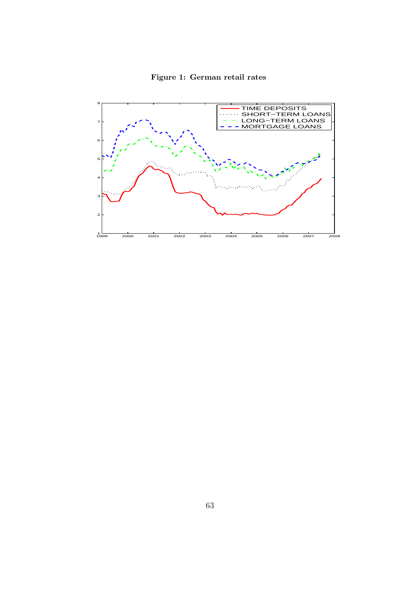

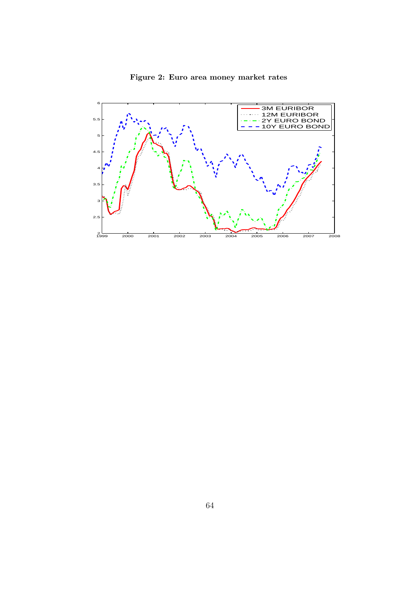

## **Figure 2: Euro area money market rates**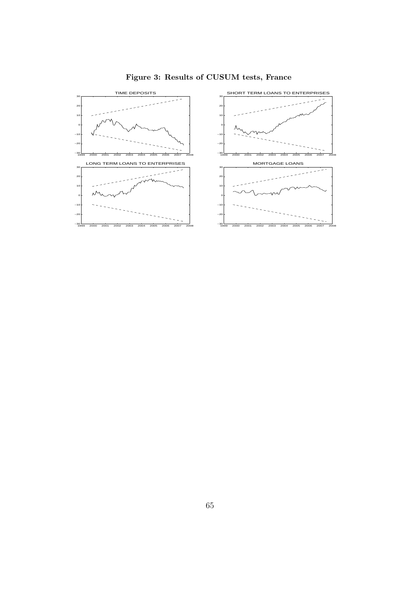

## **Figure 3: Results of CUSUM tests, France**

- 11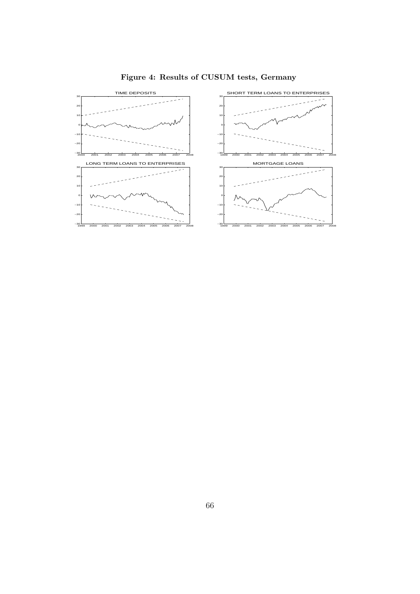

**Figure 4: Results of CUSUM tests, Germany**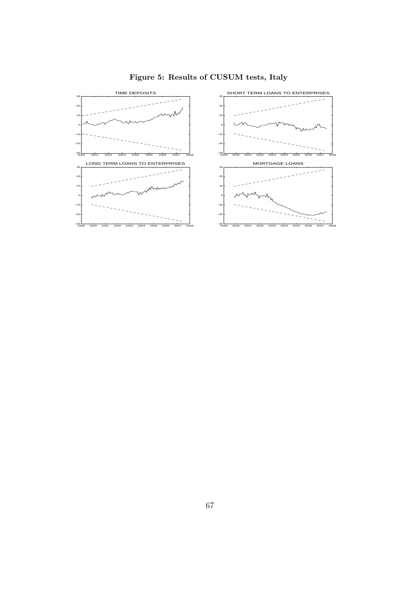

**Figure 5: Results of CUSUM tests, Italy**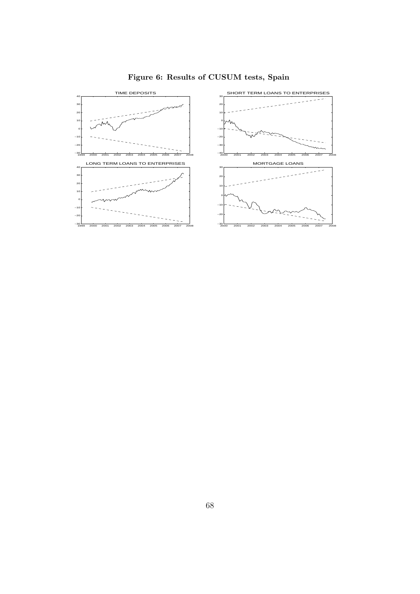

**Figure 6: Results of CUSUM tests, Spain**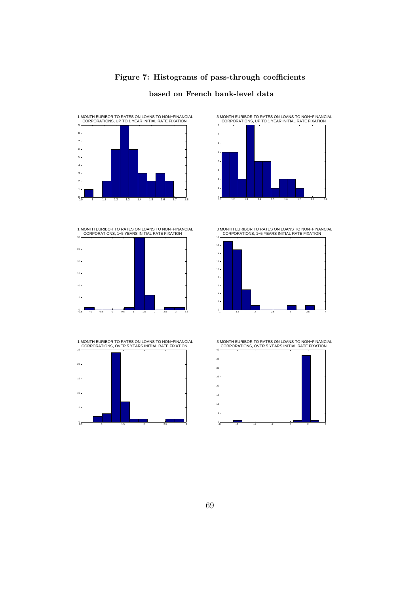

#### 0.9 1 1.1 1.2 1.3 1.4 1.5 1.6 1.7 1.8 0∟ 1 F 2F 3F 4 F 5 F 6 F 7ŀ 8 F ९ त 1 MONTH EURIBOR TO RATES ON LOANS TO NON−FINANCIAL CORPORATIONS, UP TO 1 YEAR INITIAL RATE FIXATION



1.1 1.2 1.3 1.4 1.5 1.6 1.7 1.8 1.9 0 1 H 2 F 3 F 4 F 5 F 6 **F** 7 F 8г 3 MONTH EURIBOR TO RATES ON LOANS TO NON−FINANCIAL CORPORATIONS, UP TO 1 YEAR INITIAL RATE FIXATION

1 MONTH EURIBOR TO RATES ON LOANS TO NON−FINANCIAL CORPORATIONS, 1−5 YEARS INITIAL RATE FIXATION



1 MONTH EURIBOR TO RATES ON LOANS TO NON−FINANCIAL CORPORATIONS, OVER 5 YEARS INITIAL RATE FIXATION



3 MONTH EURIBOR TO RATES ON LOANS TO NON−FINANCIAL CORPORATIONS, 1−5 YEARS INITIAL RATE FIXATION



3 MONTH EURIBOR TO RATES ON LOANS TO NON−FINANCIAL CORPORATIONS, OVER 5 YEARS INITIAL RATE FIXATION



69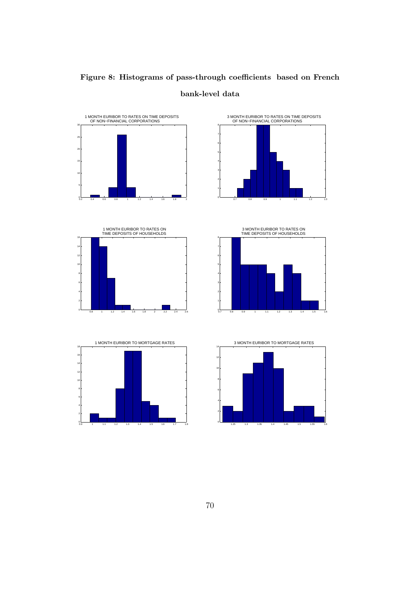

# **Figure 8: Histograms of pass-through coefficients based on French bank-level data**